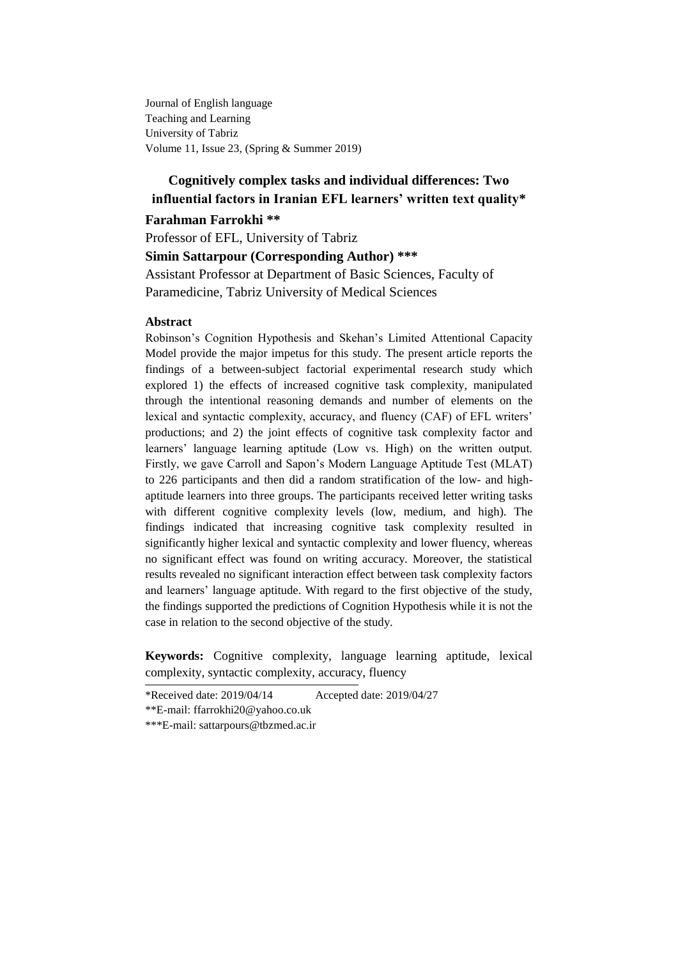Journal of English language Teaching and Learning University of Tabriz Volume 11, Issue 23, (Spring & Summer 2019)

# **Cognitively complex tasks and individual differences: Two influential factors in Iranian EFL learners' written text quality\***

# **Farahman Farrokhi \*\***

Professor of EFL, University of Tabriz **Simin Sattarpour (Corresponding Author) \*\*\*** Assistant Professor at Department of Basic Sciences, Faculty of Paramedicine, Tabriz University of Medical Sciences

#### **Abstract**

Robinson"s Cognition Hypothesis and Skehan"s Limited Attentional Capacity Model provide the major impetus for this study. The present article reports the findings of a between-subject factorial experimental research study which explored 1) the effects of increased cognitive task complexity, manipulated through the intentional reasoning demands and number of elements on the lexical and syntactic complexity, accuracy, and fluency (CAF) of EFL writers" productions; and 2) the joint effects of cognitive task complexity factor and learners' language learning aptitude (Low vs. High) on the written output. Firstly, we gave Carroll and Sapon"s Modern Language Aptitude Test (MLAT) to 226 participants and then did a random stratification of the low- and highaptitude learners into three groups. The participants received letter writing tasks with different cognitive complexity levels (low, medium, and high). The findings indicated that increasing cognitive task complexity resulted in significantly higher lexical and syntactic complexity and lower fluency, whereas no significant effect was found on writing accuracy. Moreover, the statistical results revealed no significant interaction effect between task complexity factors and learners" language aptitude. With regard to the first objective of the study, the findings supported the predictions of Cognition Hypothesis while it is not the case in relation to the second objective of the study.

**Keywords:** Cognitive complexity, language learning aptitude, lexical complexity, syntactic complexity, accuracy, fluency

\*Received date: 2019/04/14 Accepted date: 2019/04/27

\*\*E-mail: ffarrokhi20@yahoo.co.uk

<sup>\*\*\*</sup>E-mail: sattarpours@tbzmed.ac.ir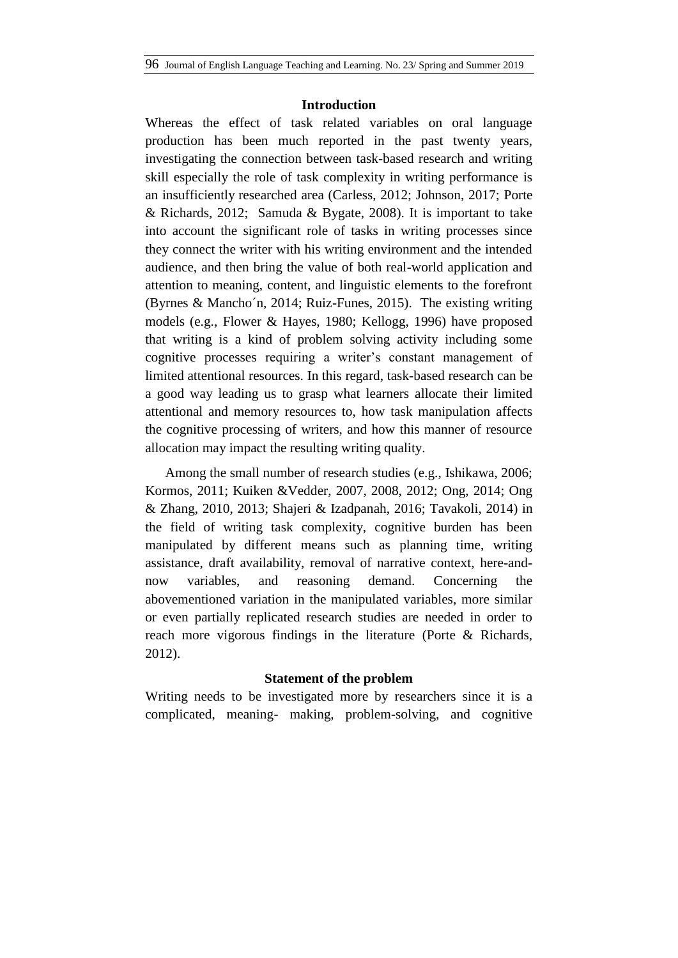## **Introduction**

Whereas the effect of task related variables on oral language production has been much reported in the past twenty years, investigating the connection between task-based research and writing skill especially the role of task complexity in writing performance is an insufficiently [researched](https://en.wiktionary.org/wiki/research) area (Carless, 2012; Johnson, 2017; Porte & Richards, 2012; Samuda & Bygate, 2008). It is important to take into account the significant role of tasks in writing processes since they connect the writer with his writing environment and the intended audience, and then bring the value of both real-world application and attention to meaning, content, and linguistic elements to the forefront (Byrnes & Mancho´n, 2014; Ruiz-Funes, 2015). The existing writing models (e.g., Flower & Hayes, 1980; Kellogg, 1996) have proposed that writing is a kind of problem solving activity including some cognitive processes requiring a writer's constant management of limited attentional resources. In this regard, task-based research can be a good way leading us to grasp what learners allocate their limited attentional and memory resources to, how task manipulation affects the cognitive processing of writers, and how this manner of resource allocation may impact the resulting writing quality.

Among the small number of research studies (e.g., Ishikawa, 2006; Kormos, 2011; Kuiken &Vedder, 2007, 2008, 2012; Ong, 2014; Ong & Zhang, 2010, 2013; Shajeri & Izadpanah, 2016; Tavakoli, 2014) in the field of writing task complexity, cognitive burden has been manipulated by different means such as planning time, writing assistance, draft availability, removal of narrative context, here-andnow variables, and reasoning demand. Concerning the abovementioned variation in the manipulated variables, more similar or even partially replicated research studies are needed in order to reach more vigorous findings in the literature (Porte & Richards, 2012).

# **Statement of the problem**

Writing needs to be investigated more by researchers since it is a complicated, meaning- making, problem-solving, and cognitive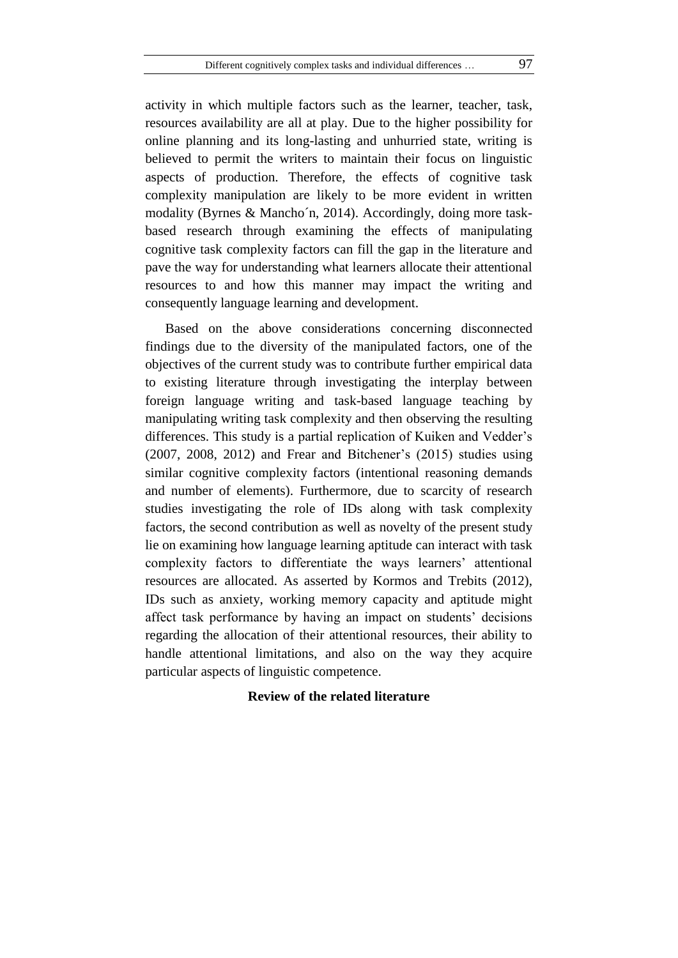activity in which multiple factors such as the learner, teacher, task, resources availability are all at play. Due to the higher possibility for online planning and its long-lasting and unhurried state, writing is believed to permit the writers to maintain their focus on linguistic aspects of production. Therefore, the effects of cognitive task complexity manipulation are likely to be more evident in written modality (Byrnes & Mancho´n, 2014). Accordingly, doing more taskbased research through examining the effects of manipulating cognitive task complexity factors can fill the gap in the literature and pave the way for understanding what learners allocate their attentional resources to and how this manner may impact the writing and consequently language learning and development.

Based on the above considerations concerning disconnected findings due to the diversity of the manipulated factors, one of the objectives of the current study was to contribute further empirical data to existing literature through investigating the interplay between foreign language writing and task-based language teaching by manipulating writing task complexity and then observing the resulting differences. This study is a partial replication of Kuiken and Vedder"s  $(2007, 2008, 2012)$  and Frear and Bitchener's  $(2015)$  studies using similar cognitive complexity factors (intentional reasoning demands and number of elements). Furthermore, due to scarcity of research studies investigating the role of IDs along with task complexity factors, the second contribution as well as novelty of the present study lie on examining how language learning aptitude can interact with task complexity factors to differentiate the ways learners' attentional resources are allocated. As asserted by Kormos and Trebits (2012), IDs such as anxiety, working memory capacity and aptitude might affect task performance by having an impact on students" decisions regarding the allocation of their attentional resources, their ability to handle attentional limitations, and also on the way they acquire particular aspects of linguistic competence.

### **Review of the related literature**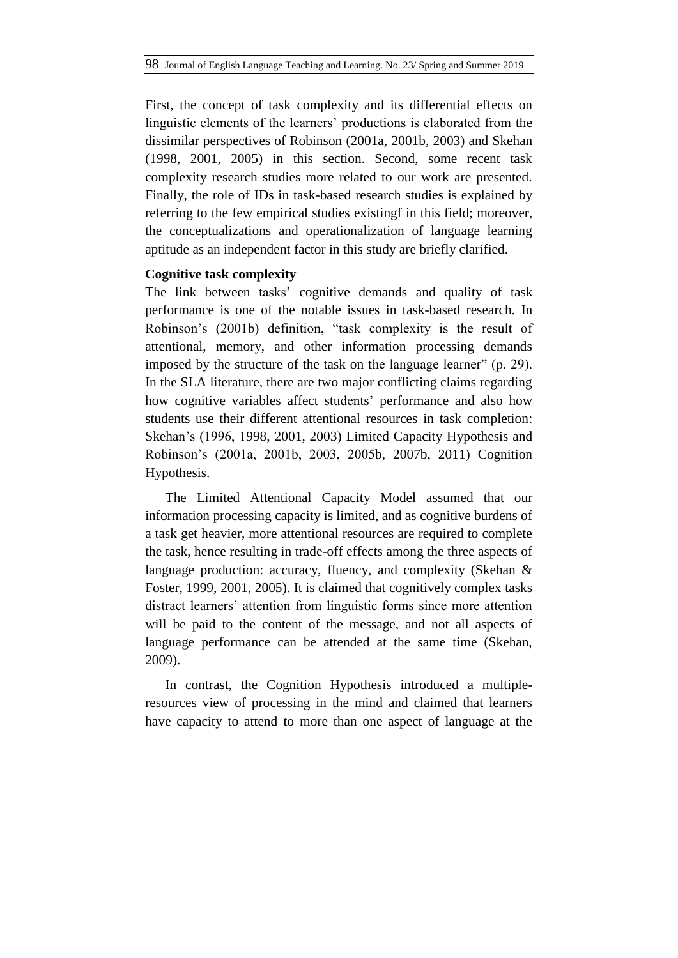First, the concept of task complexity and its differential effects on linguistic elements of the learners" productions is elaborated from the dissimilar perspectives of Robinson (2001a, 2001b, 2003) and Skehan (1998, 2001, 2005) in this section. Second, some recent task complexity research studies more related to our work are presented. Finally, the role of IDs in task-based research studies is explained by referring to the few empirical studies existingf in this field; moreover, the conceptualizations and operationalization of language learning aptitude as an independent factor in this study are briefly clarified.

### **Cognitive task complexity**

The link between tasks' cognitive demands and quality of task performance is one of the notable issues in task-based research. In Robinson"s (2001b) definition, "task complexity is the result of attentional, memory, and other information processing demands imposed by the structure of the task on the language learner" (p. 29). In the SLA literature, there are two major conflicting claims regarding how cognitive variables affect students' performance and also how students use their different attentional resources in task completion: Skehan"s (1996, 1998, 2001, 2003) Limited Capacity Hypothesis and Robinson"s (2001a, 2001b, 2003, 2005b, 2007b, 2011) Cognition Hypothesis.

The Limited Attentional Capacity Model assumed that our information processing capacity is limited, and as cognitive burdens of a task get heavier, more attentional resources are required to complete the task, hence resulting in trade-off effects among the three aspects of language production: accuracy, fluency, and complexity (Skehan & Foster, 1999, 2001, 2005). It is claimed that cognitively complex tasks distract learners' attention from linguistic forms since more attention will be paid to the content of the message, and not all aspects of language performance can be attended at the same time (Skehan, 2009).

In contrast, the Cognition Hypothesis introduced a multipleresources view of processing in the mind and claimed that learners have capacity to attend to more than one aspect of language at the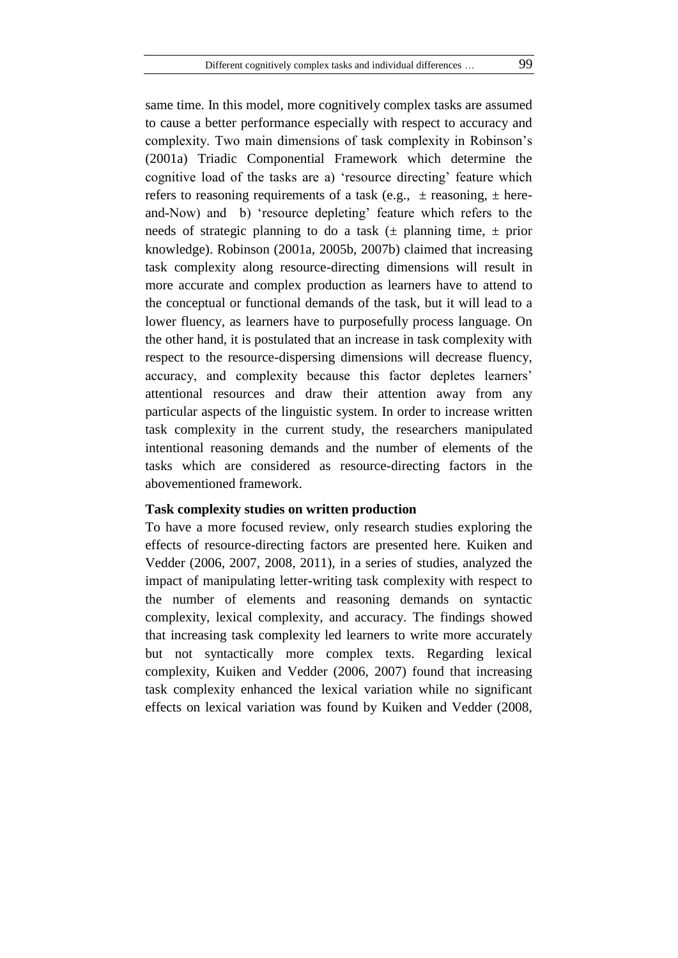same time. In this model, more cognitively complex tasks are assumed to cause a better performance especially with respect to accuracy and complexity. Two main dimensions of task complexity in Robinson"s (2001a) Triadic Componential Framework which determine the cognitive load of the tasks are a) "resource directing" feature which refers to reasoning requirements of a task (e.g.,  $\pm$  reasoning,  $\pm$  hereand-Now) and b) 'resource depleting' feature which refers to the needs of strategic planning to do a task  $(\pm$  planning time,  $\pm$  prior knowledge). Robinson (2001a, 2005b, 2007b) claimed that increasing task complexity along resource-directing dimensions will result in more accurate and complex production as learners have to attend to the conceptual or functional demands of the task, but it will lead to a lower fluency, as learners have to purposefully process language. On the other hand, it is postulated that an increase in task complexity with respect to the resource-dispersing dimensions will decrease fluency, accuracy, and complexity because this factor depletes learners" attentional resources and draw their attention away from any particular aspects of the linguistic system. In order to increase written task complexity in the current study, the researchers manipulated intentional reasoning demands and the number of elements of the tasks which are considered as resource-directing factors in the abovementioned framework.

# **Task complexity studies on written production**

To have a more focused review, only research studies exploring the effects of resource-directing factors are presented here. Kuiken and Vedder (2006, 2007, 2008, 2011), in a series of studies, analyzed the impact of manipulating letter-writing task complexity with respect to the number of elements and reasoning demands on syntactic complexity, lexical complexity, and accuracy. The findings showed that increasing task complexity led learners to write more accurately but not syntactically more complex texts. Regarding lexical complexity, Kuiken and Vedder (2006, 2007) found that increasing task complexity enhanced the lexical variation while no significant effects on lexical variation was found by Kuiken and Vedder (2008,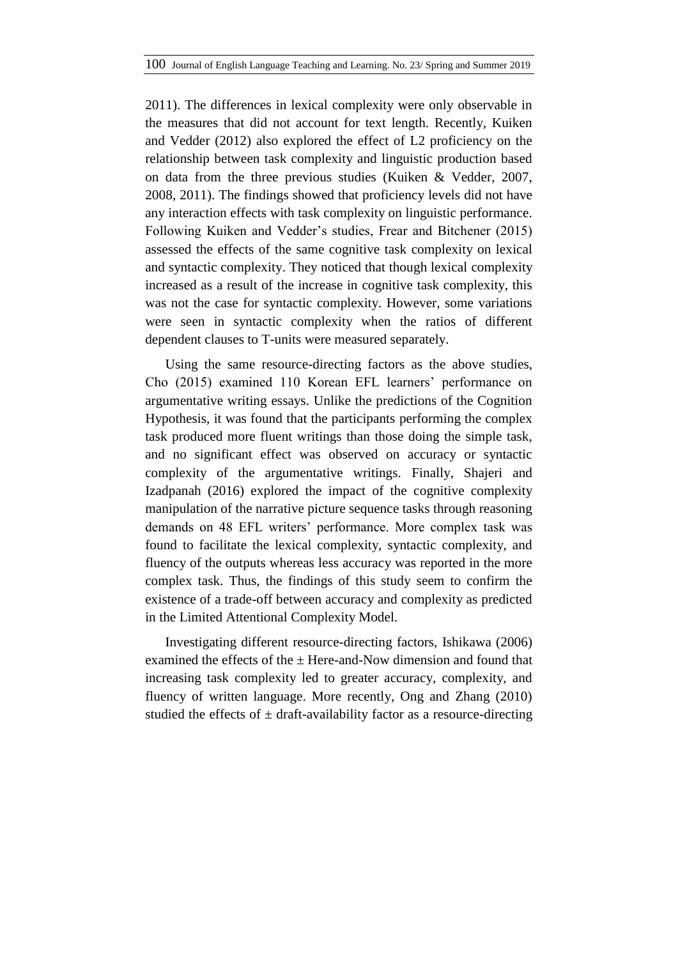2011). The differences in lexical complexity were only observable in the measures that did not account for text length. Recently, Kuiken and Vedder (2012) also explored the effect of L2 proficiency on the relationship between task complexity and linguistic production based on data from the three previous studies (Kuiken & Vedder, 2007, 2008, 2011). The findings showed that proficiency levels did not have any interaction effects with task complexity on linguistic performance. Following Kuiken and Vedder"s studies, Frear and Bitchener (2015) assessed the effects of the same cognitive task complexity on lexical and syntactic complexity. They noticed that though lexical complexity increased as a result of the increase in cognitive task complexity, this was not the case for syntactic complexity. However, some variations were seen in syntactic complexity when the ratios of different dependent clauses to T-units were measured separately.

Using the same resource-directing factors as the above studies, Cho (2015) examined 110 Korean EFL learners" performance on argumentative writing essays. Unlike the predictions of the Cognition Hypothesis, it was found that the participants performing the complex task produced more fluent writings than those doing the simple task, and no significant effect was observed on accuracy or syntactic complexity of the argumentative writings. Finally, Shajeri and Izadpanah (2016) explored the impact of the cognitive complexity manipulation of the narrative picture sequence tasks through reasoning demands on 48 EFL writers" performance. More complex task was found to facilitate the lexical complexity, syntactic complexity, and fluency of the outputs whereas less accuracy was reported in the more complex task. Thus, the findings of this study seem to confirm the existence of a trade-off between accuracy and complexity as predicted in the Limited Attentional Complexity Model.

Investigating different resource-directing factors, Ishikawa (2006) examined the effects of the  $\pm$  Here-and-Now dimension and found that increasing task complexity led to greater accuracy, complexity, and fluency of written language. More recently, Ong and Zhang (2010) studied the effects of  $\pm$  draft-availability factor as a resource-directing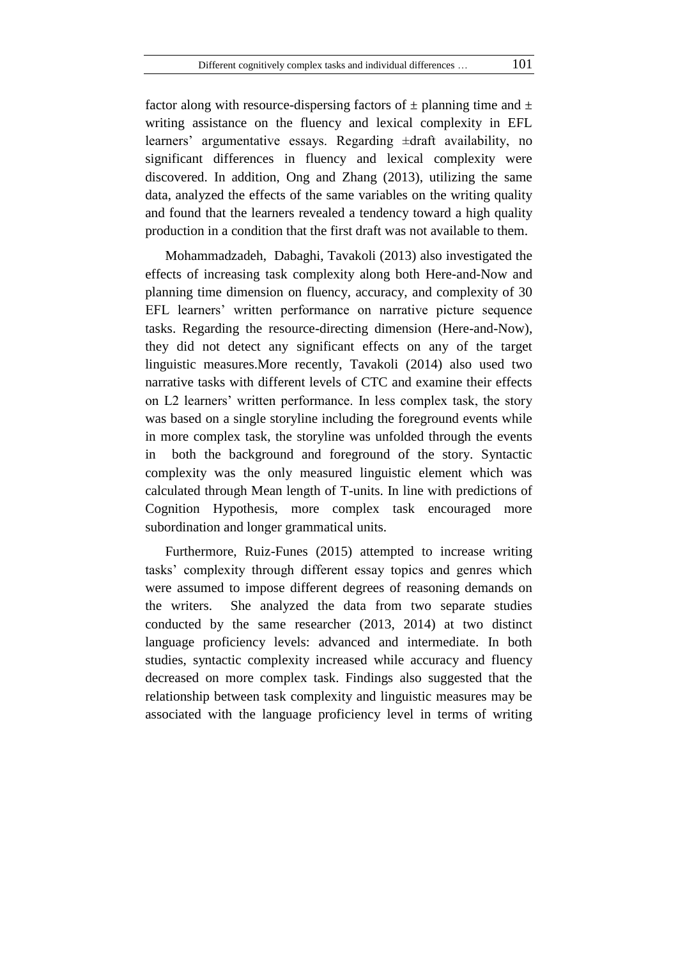factor along with resource-dispersing factors of  $\pm$  planning time and  $\pm$ writing assistance on the fluency and lexical complexity in EFL learners" argumentative essays. Regarding ±draft availability, no significant differences in fluency and lexical complexity were discovered. In addition, Ong and Zhang (2013), utilizing the same data, analyzed the effects of the same variables on the writing quality and found that the learners revealed a tendency toward a high quality production in a condition that the first draft was not available to them.

Mohammadzadeh, Dabaghi, Tavakoli (2013) also investigated the effects of increasing task complexity along both Here-and-Now and planning time dimension on fluency, accuracy, and complexity of 30 EFL learners" written performance on narrative picture sequence tasks. Regarding the resource-directing dimension (Here-and-Now), they did not detect any significant effects on any of the target linguistic measures.More recently, Tavakoli (2014) also used two narrative tasks with different levels of CTC and examine their effects on L2 learners" written performance. In less complex task, the story was based on a single storyline including the foreground events while in more complex task, the storyline was unfolded through the events in both the background and foreground of the story. Syntactic complexity was the only measured linguistic element which was calculated through Mean length of T-units. In line with predictions of Cognition Hypothesis, more complex task encouraged more subordination and longer grammatical units.

Furthermore, Ruiz-Funes (2015) attempted to increase writing tasks" complexity through different essay topics and genres which were assumed to impose different degrees of reasoning demands on the writers. She analyzed the data from two separate studies conducted by the same researcher (2013, 2014) at two distinct language proficiency levels: advanced and intermediate. In both studies, syntactic complexity increased while accuracy and fluency decreased on more complex task. Findings also suggested that the relationship between task complexity and linguistic measures may be associated with the language proficiency level in terms of writing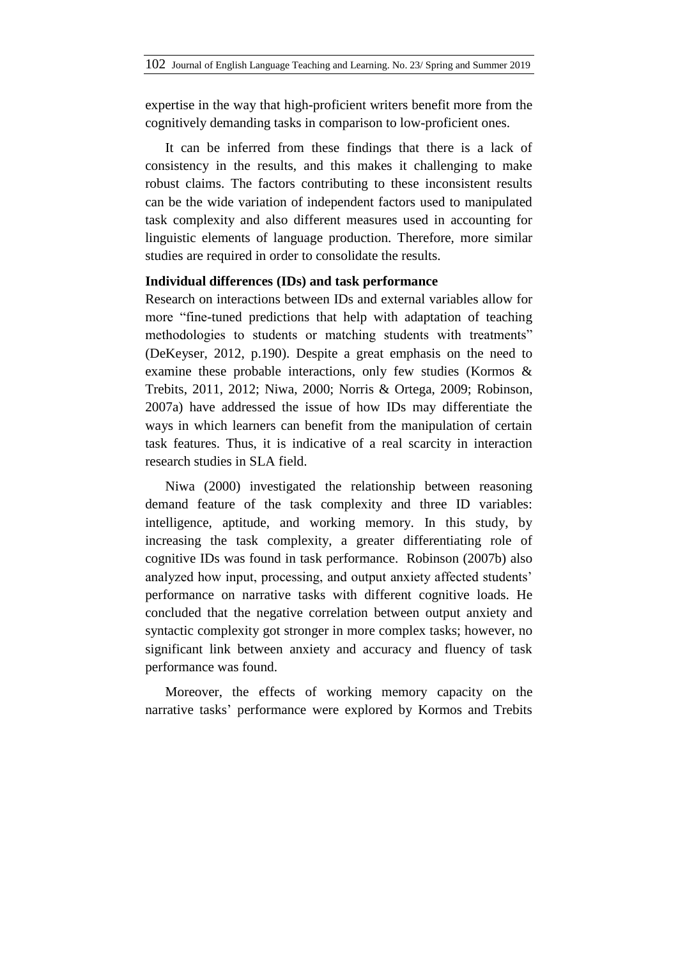expertise in the way that high-proficient writers benefit more from the cognitively demanding tasks in comparison to low-proficient ones.

It can be inferred from these findings that there is a lack of consistency in the results, and this makes it challenging to make robust claims. The factors contributing to these inconsistent results can be the wide variation of independent factors used to manipulated task complexity and also different measures used in accounting for linguistic elements of language production. Therefore, more similar studies are required in order to consolidate the results.

#### **Individual differences (IDs) and task performance**

Research on interactions between IDs and external variables allow for more "fine-tuned predictions that help with adaptation of teaching methodologies to students or matching students with treatments" (DeKeyser, 2012, p.190). Despite a great emphasis on the need to examine these probable interactions, only few studies (Kormos & Trebits, 2011, 2012; Niwa, 2000; Norris & Ortega, 2009; Robinson, 2007a) have addressed the issue of how IDs may differentiate the ways in which learners can benefit from the manipulation of certain task features. Thus, it is indicative of a real scarcity in interaction research studies in SLA field.

Niwa (2000) investigated the relationship between reasoning demand feature of the task complexity and three ID variables: intelligence, aptitude, and working memory. In this study, by increasing the task complexity, a greater differentiating role of cognitive IDs was found in task performance. Robinson (2007b) also analyzed how input, processing, and output anxiety affected students" performance on narrative tasks with different cognitive loads. He concluded that the negative correlation between output anxiety and syntactic complexity got stronger in more complex tasks; however, no significant link between anxiety and accuracy and fluency of task performance was found.

Moreover, the effects of working memory capacity on the narrative tasks" performance were explored by Kormos and Trebits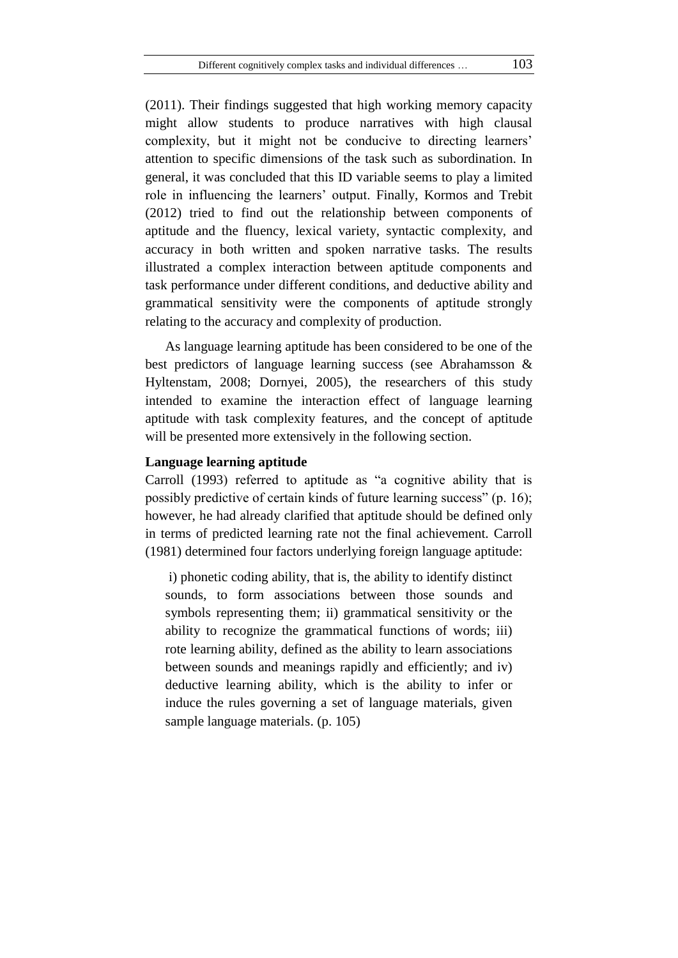(2011). Their findings suggested that high working memory capacity might allow students to produce narratives with high clausal complexity, but it might not be conducive to directing learners' attention to specific dimensions of the task such as subordination. In general, it was concluded that this ID variable seems to play a limited role in influencing the learners" output. Finally, Kormos and Trebit (2012) tried to find out the relationship between components of aptitude and the fluency, lexical variety, syntactic complexity, and accuracy in both written and spoken narrative tasks. The results illustrated a complex interaction between aptitude components and task performance under different conditions, and deductive ability and grammatical sensitivity were the components of aptitude strongly relating to the accuracy and complexity of production.

As language learning aptitude has been considered to be one of the best predictors of language learning success (see Abrahamsson & Hyltenstam, 2008; Dornyei, 2005), the researchers of this study intended to examine the interaction effect of language learning aptitude with task complexity features, and the concept of aptitude will be presented more extensively in the following section.

## **Language learning aptitude**

Carroll (1993) referred to aptitude as "a cognitive ability that is possibly predictive of certain kinds of future learning success" (p. 16); however, he had already clarified that aptitude should be defined only in terms of predicted learning rate not the final achievement. Carroll (1981) determined four factors underlying foreign language aptitude:

i) phonetic coding ability, that is, the ability to identify distinct sounds, to form associations between those sounds and symbols representing them; ii) grammatical sensitivity or the ability to recognize the grammatical functions of words; iii) rote learning ability, defined as the ability to learn associations between sounds and meanings rapidly and efficiently; and iv) deductive learning ability, which is the ability to infer or induce the rules governing a set of language materials, given sample language materials. (p. 105)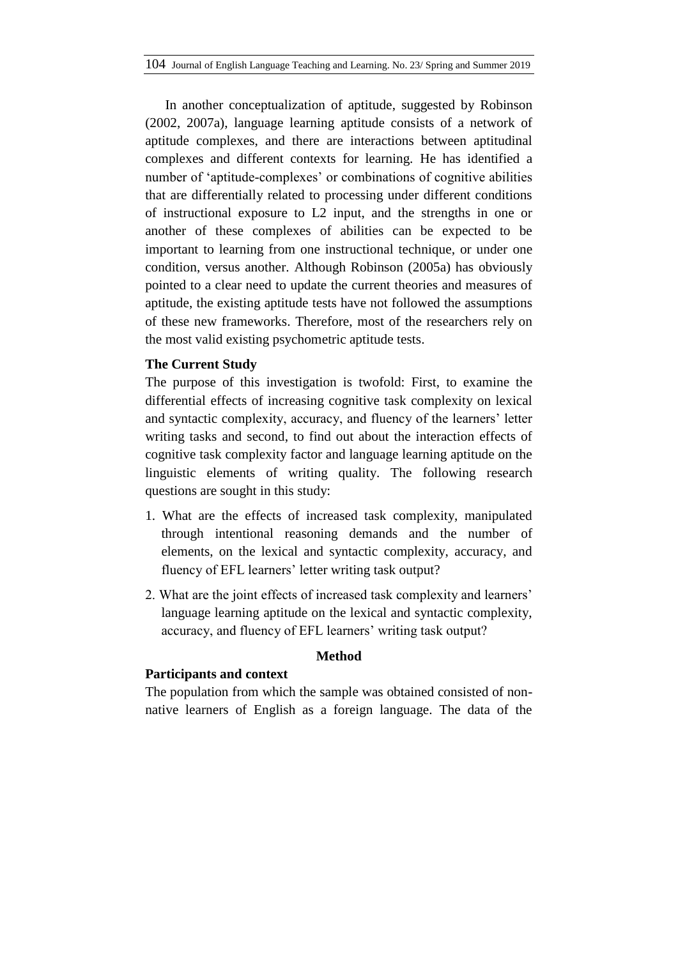In another conceptualization of aptitude, suggested by Robinson (2002, 2007a), language learning aptitude consists of a network of aptitude complexes, and there are interactions between aptitudinal complexes and different contexts for learning. He has identified a number of 'aptitude-complexes' or combinations of cognitive abilities that are differentially related to processing under different conditions of instructional exposure to L2 input, and the strengths in one or another of these complexes of abilities can be expected to be important to learning from one instructional technique, or under one condition, versus another. Although Robinson (2005a) has obviously pointed to a clear need to update the current theories and measures of aptitude, the existing aptitude tests have not followed the assumptions of these new frameworks. Therefore, most of the researchers rely on the most valid existing psychometric aptitude tests.

# **The Current Study**

The purpose of this investigation is twofold: First, to examine the differential effects of increasing cognitive task complexity on lexical and syntactic complexity, accuracy, and fluency of the learners" letter writing tasks and second, to find out about the interaction effects of cognitive task complexity factor and language learning aptitude on the linguistic elements of writing quality. The following research questions are sought in this study:

- 1. What are the effects of increased task complexity, manipulated through intentional reasoning demands and the number of elements, on the lexical and syntactic complexity, accuracy, and fluency of EFL learners' letter writing task output?
- 2. What are the joint effects of increased task complexity and learners" language learning aptitude on the lexical and syntactic complexity, accuracy, and fluency of EFL learners' writing task output?

## **Method**

### **Participants and context**

The population from which the sample was obtained consisted of nonnative learners of English as a foreign language. The data of the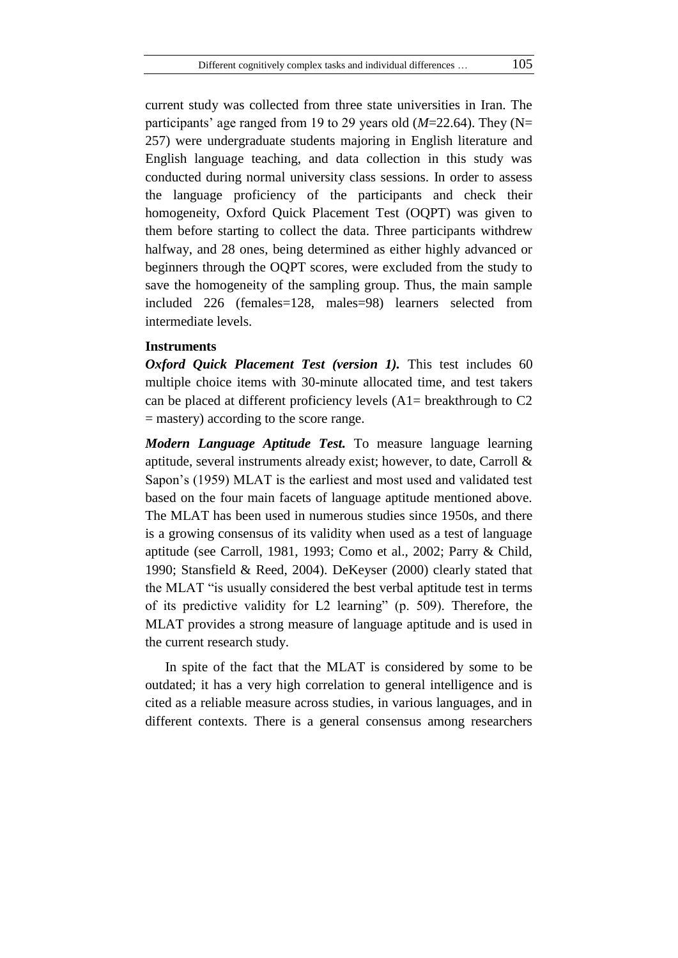current study was collected from three state universities in Iran. The participants' age ranged from 19 to 29 years old  $(M=22.64)$ . They (N= 257) were undergraduate students majoring in English literature and English language teaching, and data collection in this study was conducted during normal university class sessions. In order to assess the language proficiency of the participants and check their homogeneity, Oxford Quick Placement Test (OQPT) was given to them before starting to collect the data. Three participants withdrew halfway, and 28 ones, being determined as either highly advanced or beginners through the OQPT scores, were excluded from the study to save the homogeneity of the sampling group. Thus, the main sample included 226 (females=128, males=98) learners selected from intermediate levels.

### **Instruments**

*Oxford Quick Placement Test (version 1).* This test includes 60 multiple choice items with 30-minute allocated time, and test takers can be placed at different proficiency levels (A1= breakthrough to C2 = mastery) according to the score range.

*Modern Language Aptitude Test.* To measure language learning aptitude, several instruments already exist; however, to date, Carroll & Sapon"s (1959) MLAT is the earliest and most used and validated test based on the four main facets of language aptitude mentioned above. The MLAT has been used in numerous studies since 1950s, and there is a growing consensus of its validity when used as a test of language aptitude (see Carroll, 1981, 1993; Como et al., 2002; Parry & Child, 1990; Stansfield & Reed, 2004). DeKeyser (2000) clearly stated that the MLAT "is usually considered the best verbal aptitude test in terms of its predictive validity for L2 learning" (p. 509). Therefore, the MLAT provides a strong measure of language aptitude and is used in the current research study.

In spite of the fact that the MLAT is considered by some to be outdated; it has a very high correlation to general intelligence and is cited as a reliable measure across studies, in various languages, and in different contexts. There is a general consensus among researchers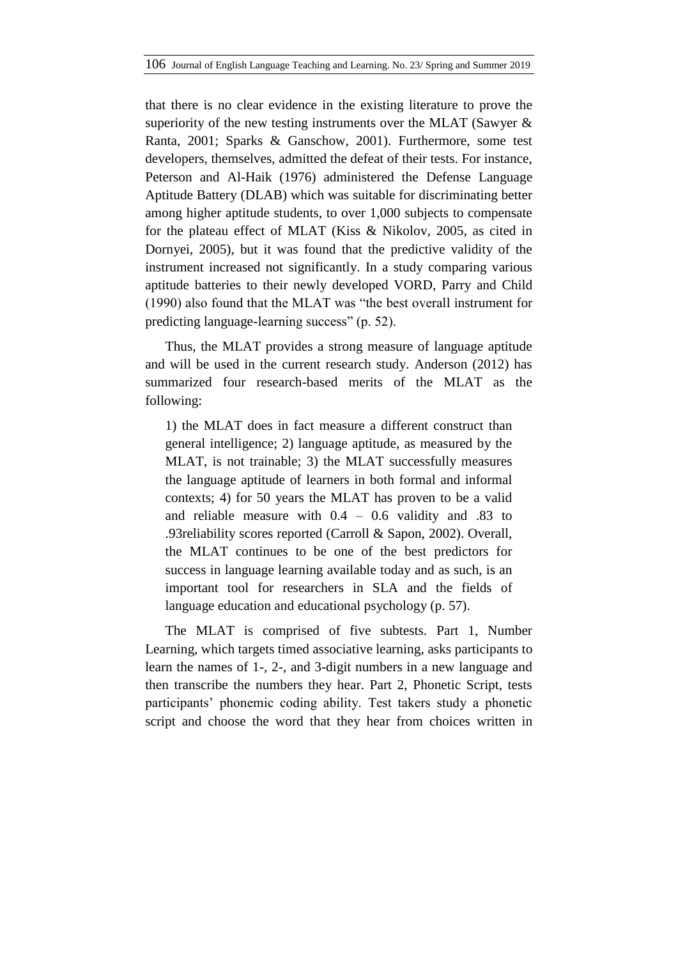that there is no clear evidence in the existing literature to prove the superiority of the new testing instruments over the MLAT (Sawyer & Ranta, 2001; Sparks & Ganschow, 2001). Furthermore, some test developers, themselves, admitted the defeat of their tests. For instance, Peterson and Al-Haik (1976) administered the Defense Language Aptitude Battery (DLAB) which was suitable for discriminating better among higher aptitude students, to over 1,000 subjects to compensate for the plateau effect of MLAT (Kiss & Nikolov, 2005, as cited in Dornyei, 2005), but it was found that the predictive validity of the instrument increased not significantly. In a study comparing various aptitude batteries to their newly developed VORD, Parry and Child (1990) also found that the MLAT was "the best overall instrument for predicting language-learning success" (p. 52).

Thus, the MLAT provides a strong measure of language aptitude and will be used in the current research study. Anderson (2012) has summarized four research-based merits of the MLAT as the following:

1) the MLAT does in fact measure a different construct than general intelligence; 2) language aptitude, as measured by the MLAT, is not trainable; 3) the MLAT successfully measures the language aptitude of learners in both formal and informal contexts; 4) for 50 years the MLAT has proven to be a valid and reliable measure with  $0.4 - 0.6$  validity and  $.83$  to .93reliability scores reported (Carroll & Sapon, 2002). Overall, the MLAT continues to be one of the best predictors for success in language learning available today and as such, is an important tool for researchers in SLA and the fields of language education and educational psychology (p. 57).

The MLAT is comprised of five subtests. Part 1, Number Learning, which targets timed associative learning, asks participants to learn the names of 1-, 2-, and 3-digit numbers in a new language and then transcribe the numbers they hear. Part 2, Phonetic Script, tests participants" phonemic coding ability. Test takers study a phonetic script and choose the word that they hear from choices written in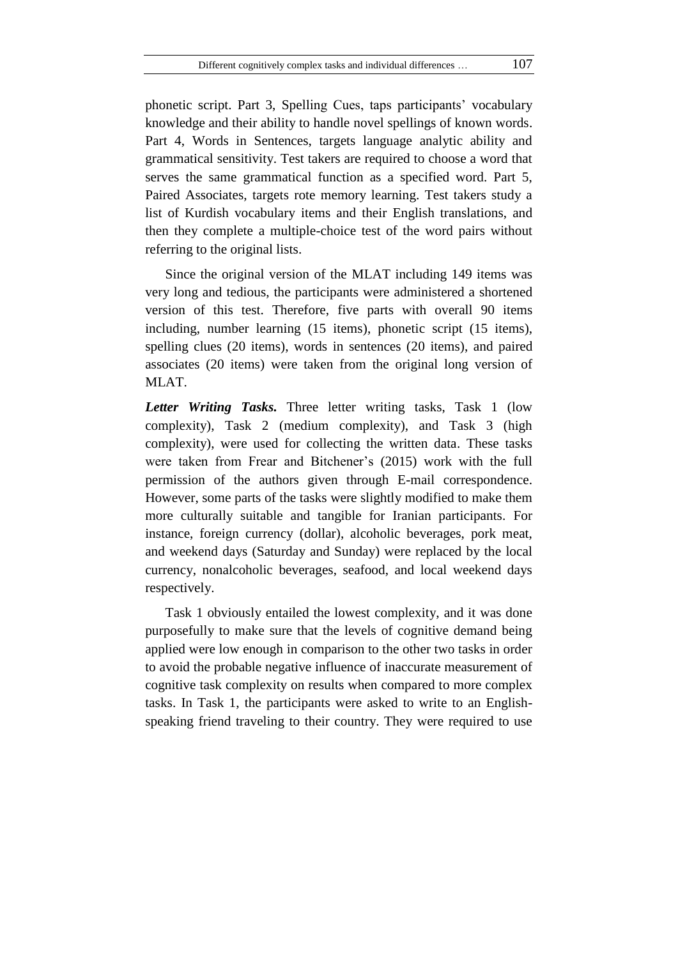phonetic script. Part 3, Spelling Cues, taps participants" vocabulary knowledge and their ability to handle novel spellings of known words. Part 4, Words in Sentences, targets language analytic ability and grammatical sensitivity. Test takers are required to choose a word that serves the same grammatical function as a specified word. Part 5, Paired Associates, targets rote memory learning. Test takers study a list of Kurdish vocabulary items and their English translations, and then they complete a multiple-choice test of the word pairs without referring to the original lists.

Since the original version of the MLAT including 149 items was very long and tedious, the participants were administered a shortened version of this test. Therefore, five parts with overall 90 items including, number learning (15 items), phonetic script (15 items), spelling clues (20 items), words in sentences (20 items), and paired associates (20 items) were taken from the original long version of MLAT.

*Letter Writing Tasks.* Three letter writing tasks, Task 1 (low complexity), Task 2 (medium complexity), and Task 3 (high complexity), were used for collecting the written data. These tasks were taken from Frear and Bitchener's (2015) work with the full permission of the authors given through E-mail correspondence. However, some parts of the tasks were slightly modified to make them more culturally suitable and tangible for Iranian participants. For instance, foreign currency (dollar), alcoholic beverages, pork meat, and weekend days (Saturday and Sunday) were replaced by the local currency, nonalcoholic beverages, seafood, and local weekend days respectively.

Task 1 obviously entailed the lowest complexity, and it was done purposefully to make sure that the levels of cognitive demand being applied were low enough in comparison to the other two tasks in order to avoid the probable negative influence of inaccurate measurement of cognitive task complexity on results when compared to more complex tasks. In Task 1, the participants were asked to write to an Englishspeaking friend traveling to their country. They were required to use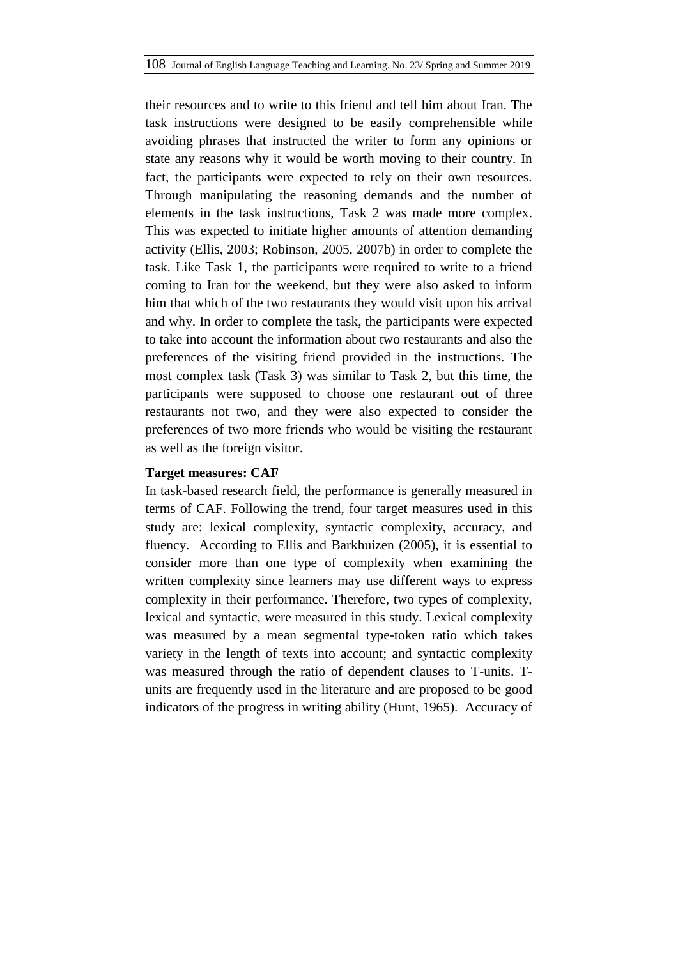their resources and to write to this friend and tell him about Iran. The task instructions were designed to be easily comprehensible while avoiding phrases that instructed the writer to form any opinions or state any reasons why it would be worth moving to their country. In fact, the participants were expected to rely on their own resources. Through manipulating the reasoning demands and the number of elements in the task instructions, Task 2 was made more complex. This was expected to initiate higher amounts of attention demanding activity (Ellis, 2003; Robinson, 2005, 2007b) in order to complete the task. Like Task 1, the participants were required to write to a friend coming to Iran for the weekend, but they were also asked to inform him that which of the two restaurants they would visit upon his arrival and why. In order to complete the task, the participants were expected to take into account the information about two restaurants and also the preferences of the visiting friend provided in the instructions. The most complex task (Task 3) was similar to Task 2, but this time, the participants were supposed to choose one restaurant out of three restaurants not two, and they were also expected to consider the preferences of two more friends who would be visiting the restaurant as well as the foreign visitor.

# **Target measures: CAF**

In task-based research field, the performance is generally measured in terms of CAF. Following the trend, four target measures used in this study are: lexical complexity, syntactic complexity, accuracy, and fluency. According to Ellis and Barkhuizen (2005), it is essential to consider more than one type of complexity when examining the written complexity since learners may use different ways to express complexity in their performance. Therefore, two types of complexity, lexical and syntactic, were measured in this study. Lexical complexity was measured by a mean segmental type-token ratio which takes variety in the length of texts into account; and syntactic complexity was measured through the ratio of dependent clauses to T-units. Tunits are frequently used in the literature and are proposed to be good indicators of the progress in writing ability (Hunt, 1965). Accuracy of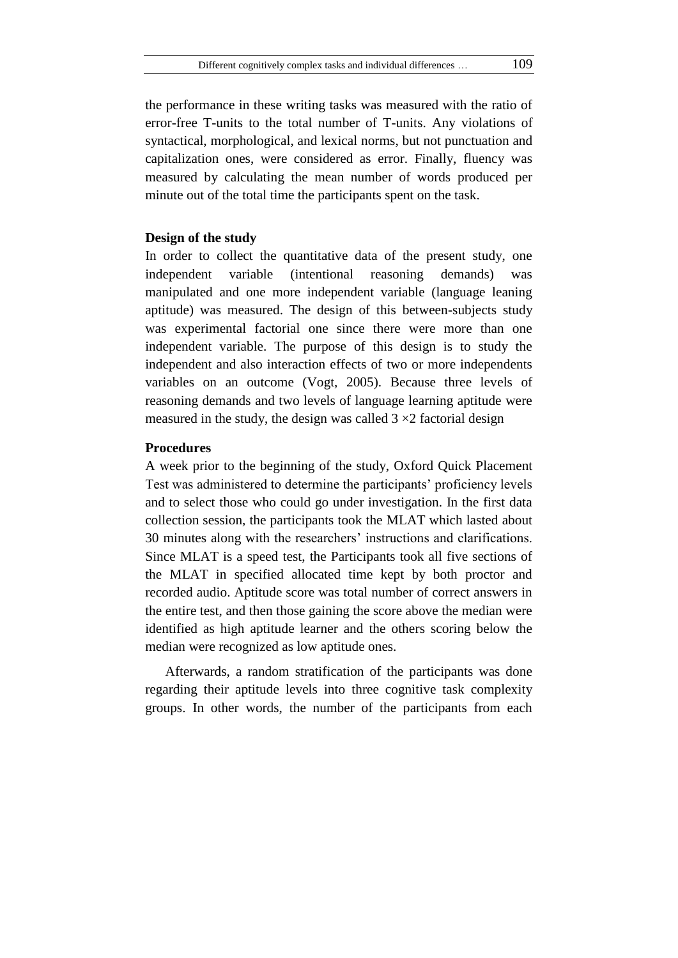the performance in these writing tasks was measured with the ratio of error-free T-units to the total number of T-units. Any violations of syntactical, morphological, and lexical norms, but not punctuation and capitalization ones, were considered as error. Finally, fluency was measured by calculating the mean number of words produced per minute out of the total time the participants spent on the task.

#### **Design of the study**

In order to collect the quantitative data of the present study, one independent variable (intentional reasoning demands) was manipulated and one more independent variable (language leaning aptitude) was measured. The design of this between-subjects study was experimental factorial one since there were more than one independent variable. The purpose of this design is to study the independent and also interaction effects of two or more independents variables on an outcome (Vogt, 2005). Because three levels of reasoning demands and two levels of language learning aptitude were measured in the study, the design was called  $3 \times 2$  factorial design

# **Procedures**

A week prior to the beginning of the study, Oxford Quick Placement Test was administered to determine the participants" proficiency levels and to select those who could go under investigation. In the first data collection session, the participants took the MLAT which lasted about 30 minutes along with the researchers' instructions and clarifications. Since MLAT is a speed test, the Participants took all five sections of the MLAT in specified allocated time kept by both proctor and recorded audio. Aptitude score was total number of correct answers in the entire test, and then those gaining the score above the median were identified as high aptitude learner and the others scoring below the median were recognized as low aptitude ones.

Afterwards, a random stratification of the participants was done regarding their aptitude levels into three cognitive task complexity groups. In other words, the number of the participants from each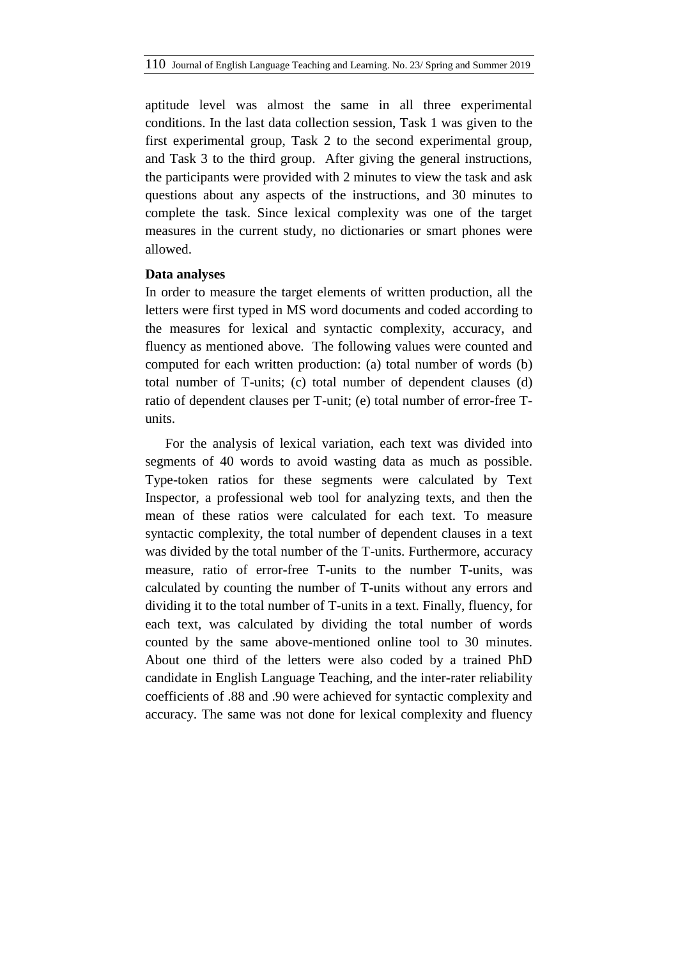aptitude level was almost the same in all three experimental conditions. In the last data collection session, Task 1 was given to the first experimental group, Task 2 to the second experimental group, and Task 3 to the third group. After giving the general instructions, the participants were provided with 2 minutes to view the task and ask questions about any aspects of the instructions, and 30 minutes to complete the task. Since lexical complexity was one of the target measures in the current study, no dictionaries or smart phones were allowed.

#### **Data analyses**

In order to measure the target elements of written production, all the letters were first typed in MS word documents and coded according to the measures for lexical and syntactic complexity, accuracy, and fluency as mentioned above. The following values were counted and computed for each written production: (a) total number of words (b) total number of T-units; (c) total number of dependent clauses (d) ratio of dependent clauses per T-unit; (e) total number of error-free Tunits.

For the analysis of lexical variation, each text was divided into segments of 40 words to avoid wasting data as much as possible. Type-token ratios for these segments were calculated by Text Inspector, a professional web tool for analyzing texts, and then the mean of these ratios were calculated for each text. To measure syntactic complexity, the total number of dependent clauses in a text was divided by the total number of the T-units. Furthermore, accuracy measure, ratio of error-free T-units to the number T-units, was calculated by counting the number of T-units without any errors and dividing it to the total number of T-units in a text. Finally, fluency, for each text, was calculated by dividing the total number of words counted by the same above-mentioned online tool to 30 minutes. About one third of the letters were also coded by a trained PhD candidate in English Language Teaching, and the inter-rater reliability coefficients of .88 and .90 were achieved for syntactic complexity and accuracy. The same was not done for lexical complexity and fluency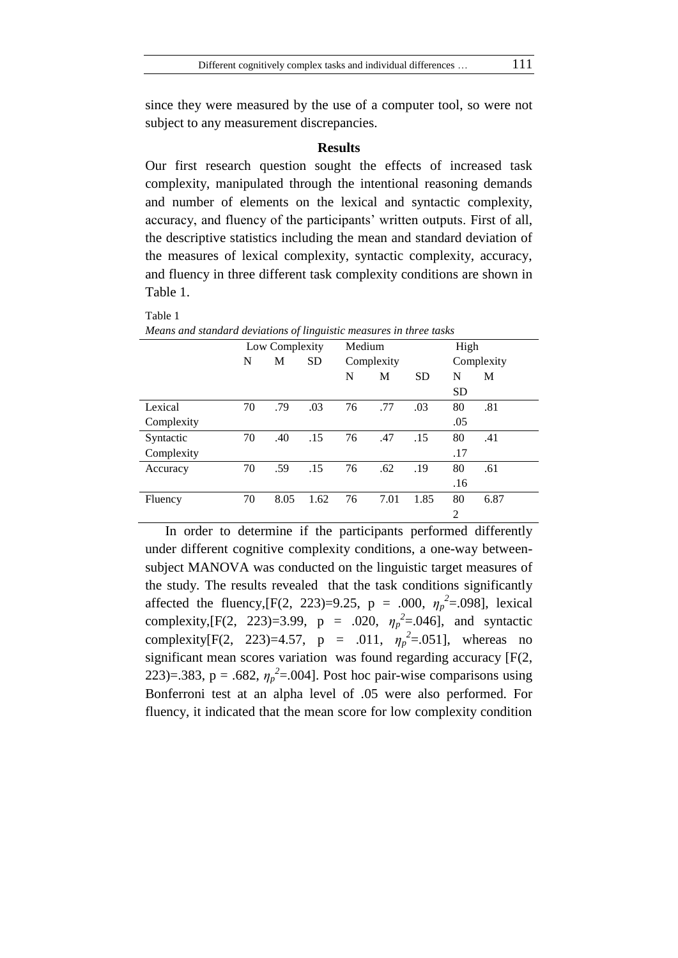since they were measured by the use of a computer tool, so were not subject to any measurement discrepancies.

## **Results**

Our first research question sought the effects of increased task complexity, manipulated through the intentional reasoning demands and number of elements on the lexical and syntactic complexity, accuracy, and fluency of the participants' written outputs. First of all, the descriptive statistics including the mean and standard deviation of the measures of lexical complexity, syntactic complexity, accuracy, and fluency in three different task complexity conditions are shown in Table 1.

| Means and standard deviations of linguistic measures in three tasks |    |                |           |        |            |            |                |      |  |  |
|---------------------------------------------------------------------|----|----------------|-----------|--------|------------|------------|----------------|------|--|--|
|                                                                     |    | Low Complexity |           | Medium |            |            | High           |      |  |  |
|                                                                     | N  | М              | <b>SD</b> |        | Complexity | Complexity |                |      |  |  |
|                                                                     |    |                |           | N      | М          | <b>SD</b>  | N              | М    |  |  |
|                                                                     |    |                |           |        |            |            | <b>SD</b>      |      |  |  |
| Lexical                                                             | 70 | .79            | .03       | 76     | .77        | .03        | 80             | .81  |  |  |
| Complexity                                                          |    |                |           |        |            |            | .05            |      |  |  |
| Syntactic                                                           | 70 | .40            | .15       | 76     | .47        | .15        | 80             | .41  |  |  |
| Complexity                                                          |    |                |           |        |            |            | .17            |      |  |  |
| Accuracy                                                            | 70 | .59            | .15       | 76     | .62        | .19        | 80             | .61  |  |  |
|                                                                     |    |                |           |        |            |            | .16            |      |  |  |
| Fluency                                                             | 70 | 8.05           | 1.62      | 76     | 7.01       | 1.85       | 80             | 6.87 |  |  |
|                                                                     |    |                |           |        |            |            | $\overline{2}$ |      |  |  |

*Means and standard deviations of linguistic measures in three tasks*

Table 1

In order to determine if the participants performed differently under different cognitive complexity conditions, a one-way betweensubject MANOVA was conducted on the linguistic target measures of the study. The results revealed that the task conditions significantly affected the fluency,  $[F(2, 223)=9.25, p = .000, \eta_p^2=0.098]$ , lexical complexity,  $[F(2, 223)=3.99, p = .020, \eta_p^2 = .046]$ , and syntactic complexity[F(2, 223)=4.57, p = .011,  $\eta_p^2 = .051$ ], whereas no significant mean scores variation was found regarding accuracy [F(2, 223)=.383, p = .682,  $\eta_p^2$ =.004]. Post hoc pair-wise comparisons using Bonferroni test at an alpha level of .05 were also performed. For fluency, it indicated that the mean score for low complexity condition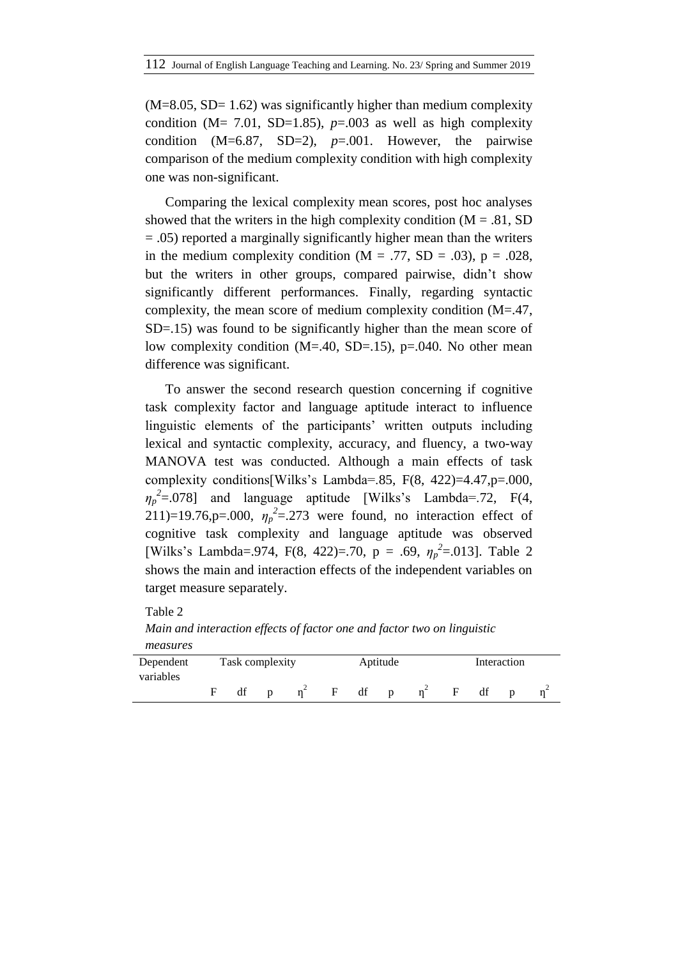$(M=8.05, SD= 1.62)$  was significantly higher than medium complexity condition ( $M = 7.01$ , SD=1.85),  $p=0.003$  as well as high complexity condition (M=6.87, SD=2), *p*=.001. However, the pairwise comparison of the medium complexity condition with high complexity one was non-significant.

Comparing the lexical complexity mean scores, post hoc analyses showed that the writers in the high complexity condition  $(M = .81, SD)$  $= .05$ ) reported a marginally significantly higher mean than the writers in the medium complexity condition ( $M = .77$ , SD = .03), p = .028, but the writers in other groups, compared pairwise, didn"t show significantly different performances. Finally, regarding syntactic complexity, the mean score of medium complexity condition (M=.47, SD=.15) was found to be significantly higher than the mean score of low complexity condition (M=.40, SD=.15), p=.040. No other mean difference was significant.

To answer the second research question concerning if cognitive task complexity factor and language aptitude interact to influence linguistic elements of the participants' written outputs including lexical and syntactic complexity, accuracy, and fluency, a two-way MANOVA test was conducted. Although a main effects of task complexity conditions[Wilks"s Lambda=.85, F(8, 422)=4.47,p=.000,  $\eta_p^2 = 0.078$  and language aptitude [Wilks's Lambda=.72, F(4, 211)=19.76,p=.000,  $\eta_p^2$ =.273 were found, no interaction effect of cognitive task complexity and language aptitude was observed [Wilks's Lambda=.974, F(8, 422)=.70, p = .69,  $\eta_p^2$ =.013]. Table 2 shows the main and interaction effects of the independent variables on target measure separately.

Table 2

*Main and interaction effects of factor one and factor two on linguistic measures*

| Dependent | Task complexity |   |   |    | Aptitude     | Interaction |    |  |  |
|-----------|-----------------|---|---|----|--------------|-------------|----|--|--|
| variables | df              | D | F | df | $\mathbf{D}$ |             | df |  |  |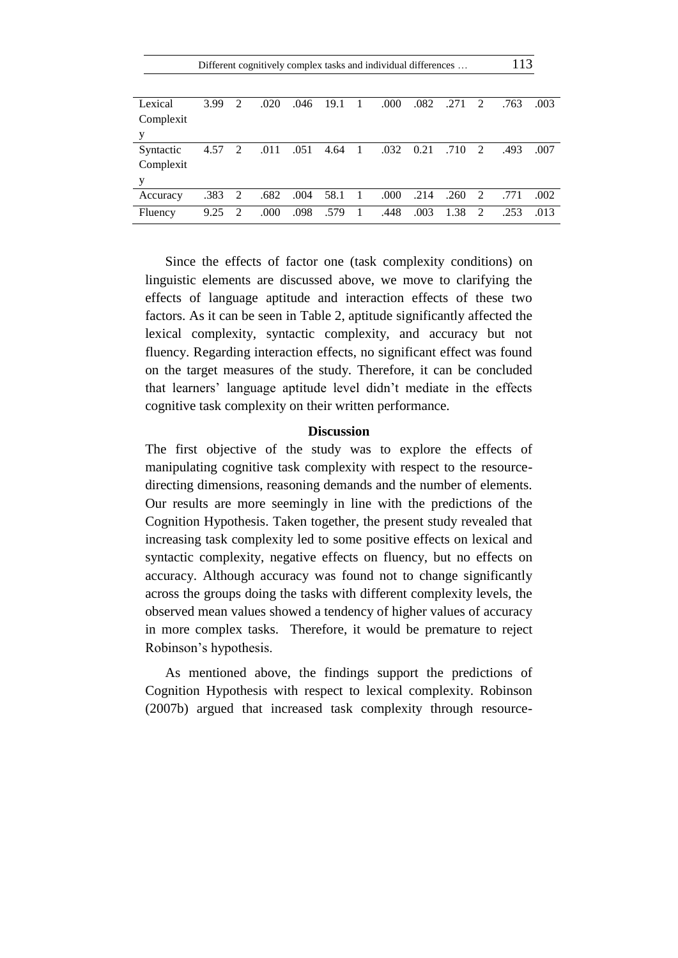|           | Different cognitively complex tasks and individual differences |               |      |      |      |    |      |      |      |                             | 113  |      |
|-----------|----------------------------------------------------------------|---------------|------|------|------|----|------|------|------|-----------------------------|------|------|
|           |                                                                |               |      |      |      |    |      |      |      |                             |      |      |
| Lexical   | 3.99                                                           | 2             | .020 | .046 | 19.1 |    | .000 | .082 | .271 | 2                           | .763 | .003 |
| Complexit |                                                                |               |      |      |      |    |      |      |      |                             |      |      |
| у         |                                                                |               |      |      |      |    |      |      |      |                             |      |      |
| Syntactic | 4.57                                                           | 2             | .011 | .051 | 4.64 |    | .032 | 0.21 | .710 | $\mathcal{D}_{\mathcal{L}}$ | .493 | .007 |
| Complexit |                                                                |               |      |      |      |    |      |      |      |                             |      |      |
| у         |                                                                |               |      |      |      |    |      |      |      |                             |      |      |
| Accuracy  | .383                                                           | 2             | .682 | .004 | 58.1 | -1 | .000 | .214 | .260 | 2                           | .771 | .002 |
| Fluency   | 9.25                                                           | $\mathcal{L}$ | .000 | .098 | .579 | -1 | .448 | .003 | 1.38 | $\mathcal{D}$               | .253 | .013 |

Since the effects of factor one (task complexity conditions) on linguistic elements are discussed above, we move to clarifying the effects of language aptitude and interaction effects of these two factors. As it can be seen in Table 2, aptitude significantly affected the lexical complexity, syntactic complexity, and accuracy but not fluency. Regarding interaction effects, no significant effect was found on the target measures of the study. Therefore, it can be concluded that learners' language aptitude level didn't mediate in the effects cognitive task complexity on their written performance.

## **Discussion**

The first objective of the study was to explore the effects of manipulating cognitive task complexity with respect to the resourcedirecting dimensions, reasoning demands and the number of elements. Our results are more seemingly in line with the predictions of the Cognition Hypothesis. Taken together, the present study revealed that increasing task complexity led to some positive effects on lexical and syntactic complexity, negative effects on fluency, but no effects on accuracy. Although accuracy was found not to change significantly across the groups doing the tasks with different complexity levels, the observed mean values showed a tendency of higher values of accuracy in more complex tasks. Therefore, it would be premature to reject Robinson"s hypothesis.

As mentioned above, the findings support the predictions of Cognition Hypothesis with respect to lexical complexity. Robinson (2007b) argued that increased task complexity through resource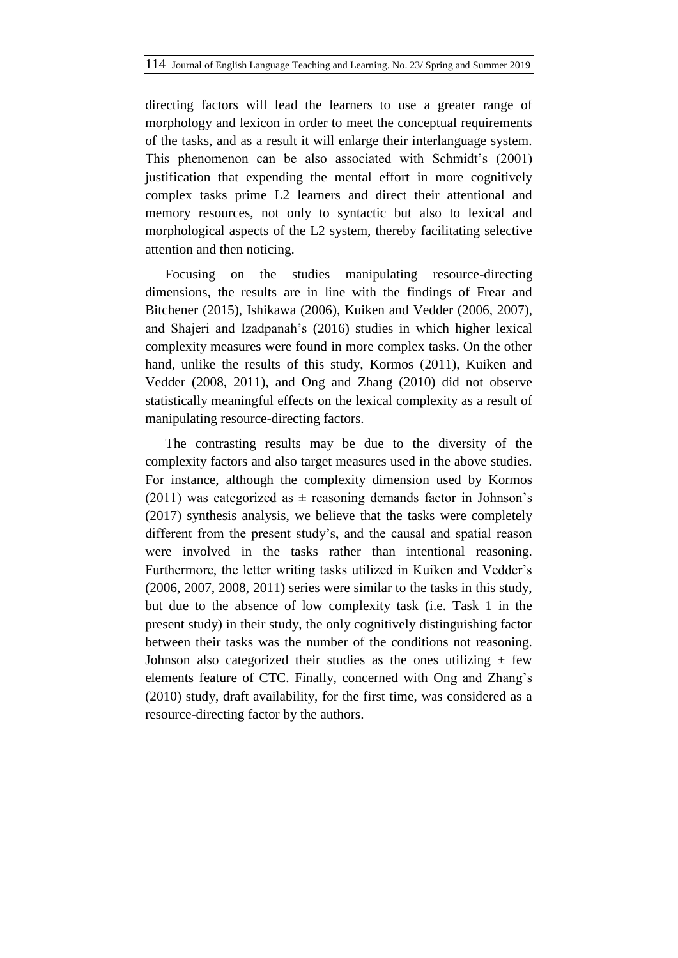directing factors will lead the learners to use a greater range of morphology and lexicon in order to meet the conceptual requirements of the tasks, and as a result it will enlarge their interlanguage system. This phenomenon can be also associated with Schmidt's (2001) justification that expending the mental effort in more cognitively complex tasks prime L2 learners and direct their attentional and memory resources, not only to syntactic but also to lexical and morphological aspects of the L2 system, thereby facilitating selective attention and then noticing.

Focusing on the studies manipulating resource-directing dimensions, the results are in line with the findings of Frear and Bitchener (2015), Ishikawa (2006), Kuiken and Vedder (2006, 2007), and Shajeri and Izadpanah"s (2016) studies in which higher lexical complexity measures were found in more complex tasks. On the other hand, unlike the results of this study, Kormos (2011), Kuiken and Vedder (2008, 2011), and Ong and Zhang (2010) did not observe statistically meaningful effects on the lexical complexity as a result of manipulating resource-directing factors.

The contrasting results may be due to the diversity of the complexity factors and also target measures used in the above studies. For instance, although the complexity dimension used by Kormos (2011) was categorized as  $\pm$  reasoning demands factor in Johnson's (2017) synthesis analysis, we believe that the tasks were completely different from the present study"s, and the causal and spatial reason were involved in the tasks rather than intentional reasoning. Furthermore, the letter writing tasks utilized in Kuiken and Vedder"s (2006, 2007, 2008, 2011) series were similar to the tasks in this study, but due to the absence of low complexity task (i.e. Task 1 in the present study) in their study, the only cognitively distinguishing factor between their tasks was the number of the conditions not reasoning. Johnson also categorized their studies as the ones utilizing  $\pm$  few elements feature of CTC. Finally, concerned with Ong and Zhang"s (2010) study, draft availability, for the first time, was considered as a resource-directing factor by the authors.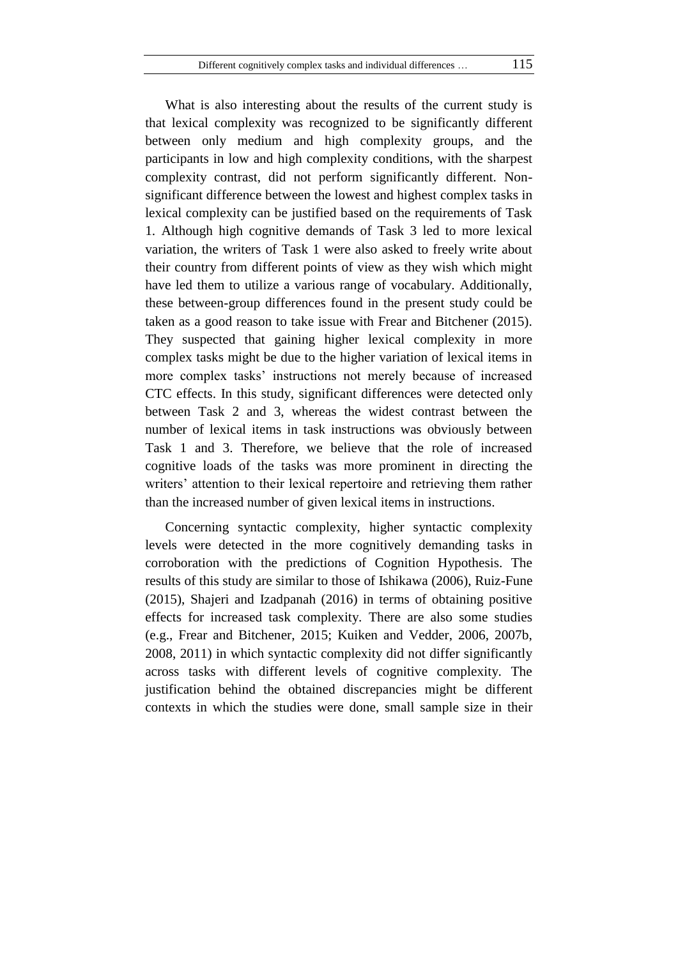What is also interesting about the results of the current study is that lexical complexity was recognized to be significantly different between only medium and high complexity groups, and the participants in low and high complexity conditions, with the sharpest complexity contrast, did not perform significantly different. Nonsignificant difference between the lowest and highest complex tasks in lexical complexity can be justified based on the requirements of Task 1. Although high cognitive demands of Task 3 led to more lexical variation, the writers of Task 1 were also asked to freely write about their country from different points of view as they wish which might have led them to utilize a various range of vocabulary. Additionally, these between-group differences found in the present study could be taken as a good reason to take issue with Frear and Bitchener (2015). They suspected that gaining higher lexical complexity in more complex tasks might be due to the higher variation of lexical items in more complex tasks' instructions not merely because of increased CTC effects. In this study, significant differences were detected only between Task 2 and 3, whereas the widest contrast between the number of lexical items in task instructions was obviously between Task 1 and 3. Therefore, we believe that the role of increased cognitive loads of the tasks was more prominent in directing the writers' attention to their lexical repertoire and retrieving them rather than the increased number of given lexical items in instructions.

Concerning syntactic complexity, higher syntactic complexity levels were detected in the more cognitively demanding tasks in corroboration with the predictions of Cognition Hypothesis. The results of this study are similar to those of Ishikawa (2006), Ruiz-Fune (2015), Shajeri and Izadpanah (2016) in terms of obtaining positive effects for increased task complexity. There are also some studies (e.g., Frear and Bitchener, 2015; Kuiken and Vedder, 2006, 2007b, 2008, 2011) in which syntactic complexity did not differ significantly across tasks with different levels of cognitive complexity. The justification behind the obtained discrepancies might be different contexts in which the studies were done, small sample size in their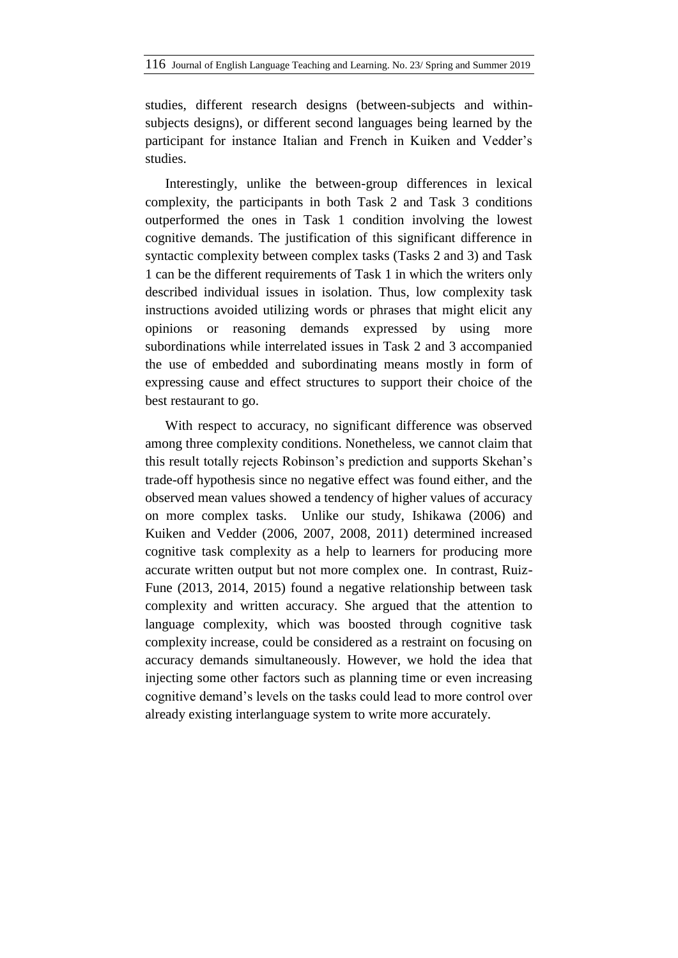studies, different research designs (between-subjects and withinsubjects designs), or different second languages being learned by the participant for instance Italian and French in Kuiken and Vedder"s studies.

Interestingly, unlike the between-group differences in lexical complexity, the participants in both Task 2 and Task 3 conditions outperformed the ones in Task 1 condition involving the lowest cognitive demands. The justification of this significant difference in syntactic complexity between complex tasks (Tasks 2 and 3) and Task 1 can be the different requirements of Task 1 in which the writers only described individual issues in isolation. Thus, low complexity task instructions avoided utilizing words or phrases that might elicit any opinions or reasoning demands expressed by using more subordinations while interrelated issues in Task 2 and 3 accompanied the use of embedded and subordinating means mostly in form of expressing cause and effect structures to support their choice of the best restaurant to go.

With respect to accuracy, no significant difference was observed among three complexity conditions. Nonetheless, we cannot claim that this result totally rejects Robinson"s prediction and supports Skehan"s trade-off hypothesis since no negative effect was found either, and the observed mean values showed a tendency of higher values of accuracy on more complex tasks. Unlike our study, Ishikawa (2006) and Kuiken and Vedder (2006, 2007, 2008, 2011) determined increased cognitive task complexity as a help to learners for producing more accurate written output but not more complex one. In contrast, Ruiz-Fune (2013, 2014, 2015) found a negative relationship between task complexity and written accuracy. She argued that the attention to language complexity, which was boosted through cognitive task complexity increase, could be considered as a restraint on focusing on accuracy demands simultaneously. However, we hold the idea that injecting some other factors such as planning time or even increasing cognitive demand"s levels on the tasks could lead to more control over already existing interlanguage system to write more accurately.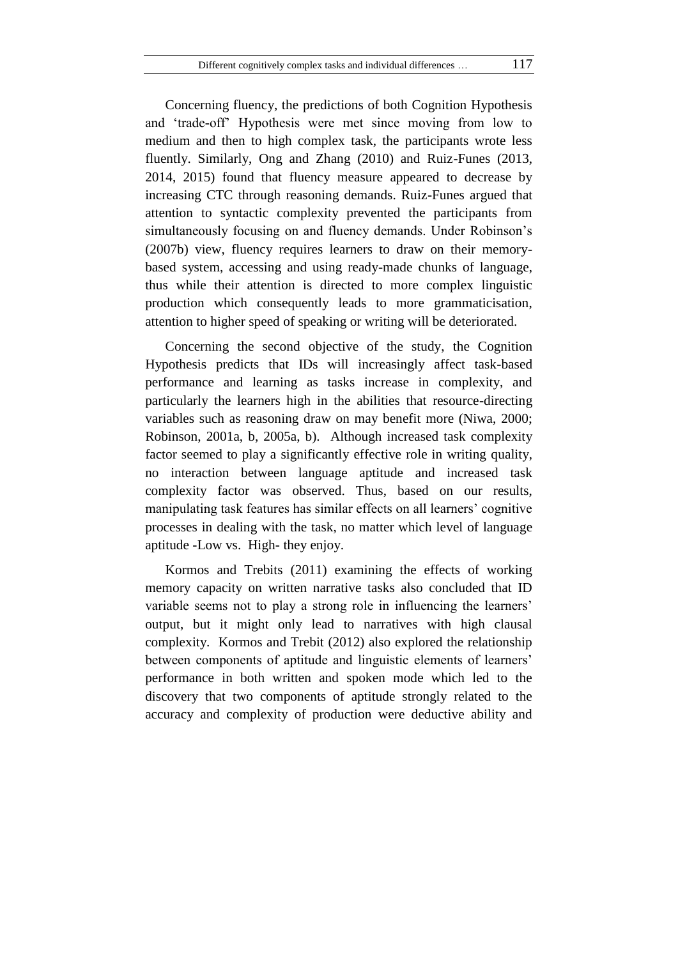Concerning fluency, the predictions of both Cognition Hypothesis and "trade-off" Hypothesis were met since moving from low to medium and then to high complex task, the participants wrote less fluently. Similarly, Ong and Zhang (2010) and Ruiz-Funes (2013, 2014, 2015) found that fluency measure appeared to decrease by increasing CTC through reasoning demands. Ruiz-Funes argued that attention to syntactic complexity prevented the participants from simultaneously focusing on and fluency demands. Under Robinson's (2007b) view, fluency requires learners to draw on their memorybased system, accessing and using ready-made chunks of language, thus while their attention is directed to more complex linguistic production which consequently leads to more grammaticisation, attention to higher speed of speaking or writing will be deteriorated.

Concerning the second objective of the study, the Cognition Hypothesis predicts that IDs will increasingly affect task-based performance and learning as tasks increase in complexity, and particularly the learners high in the abilities that resource-directing variables such as reasoning draw on may benefit more (Niwa, 2000; Robinson, 2001a, b, 2005a, b). Although increased task complexity factor seemed to play a significantly effective role in writing quality, no interaction between language aptitude and increased task complexity factor was observed. Thus, based on our results, manipulating task features has similar effects on all learners' cognitive processes in dealing with the task, no matter which level of language aptitude -Low vs. High- they enjoy.

Kormos and Trebits (2011) examining the effects of working memory capacity on written narrative tasks also concluded that ID variable seems not to play a strong role in influencing the learners' output, but it might only lead to narratives with high clausal complexity. Kormos and Trebit (2012) also explored the relationship between components of aptitude and linguistic elements of learners' performance in both written and spoken mode which led to the discovery that two components of aptitude strongly related to the accuracy and complexity of production were deductive ability and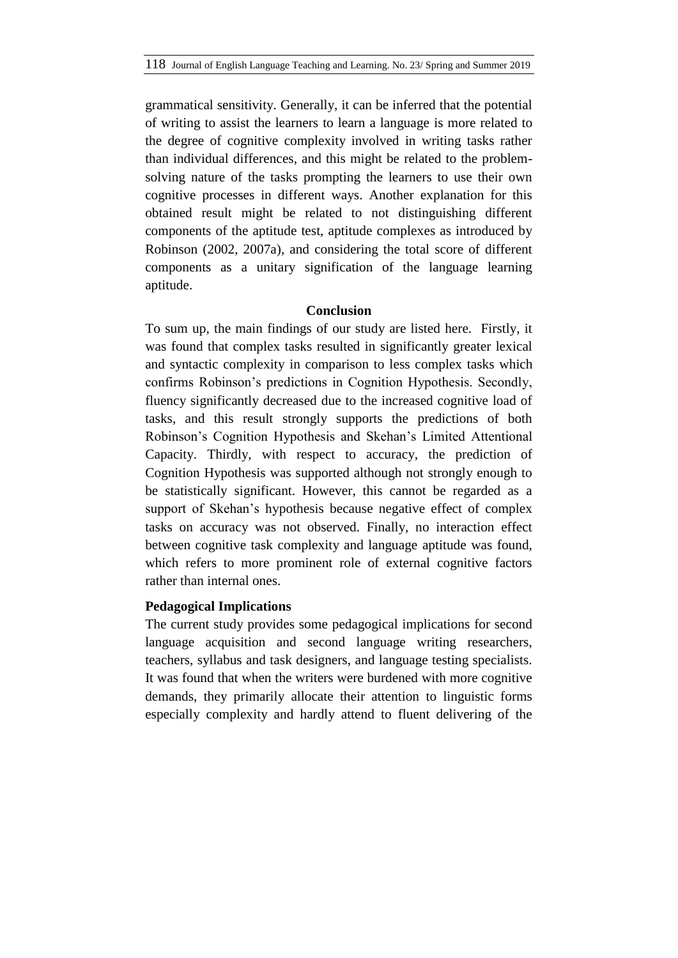grammatical sensitivity. Generally, it can be inferred that the potential of writing to assist the learners to learn a language is more related to the degree of cognitive complexity involved in writing tasks rather than individual differences, and this might be related to the problemsolving nature of the tasks prompting the learners to use their own cognitive processes in different ways. Another explanation for this obtained result might be related to not distinguishing different components of the aptitude test, aptitude complexes as introduced by Robinson (2002, 2007a), and considering the total score of different components as a unitary signification of the language learning aptitude.

# **Conclusion**

To sum up, the main findings of our study are listed here. Firstly, it was found that complex tasks resulted in significantly greater lexical and syntactic complexity in comparison to less complex tasks which confirms Robinson"s predictions in Cognition Hypothesis. Secondly, fluency significantly decreased due to the increased cognitive load of tasks, and this result strongly supports the predictions of both Robinson"s Cognition Hypothesis and Skehan"s Limited Attentional Capacity. Thirdly, with respect to accuracy, the prediction of Cognition Hypothesis was supported although not strongly enough to be statistically significant. However, this cannot be regarded as a support of Skehan's hypothesis because negative effect of complex tasks on accuracy was not observed. Finally, no interaction effect between cognitive task complexity and language aptitude was found, which refers to more prominent role of external cognitive factors rather than internal ones.

# **Pedagogical Implications**

The current study provides some pedagogical implications for second language acquisition and second language writing researchers, teachers, syllabus and task designers, and language testing specialists. It was found that when the writers were burdened with more cognitive demands, they primarily allocate their attention to linguistic forms especially complexity and hardly attend to fluent delivering of the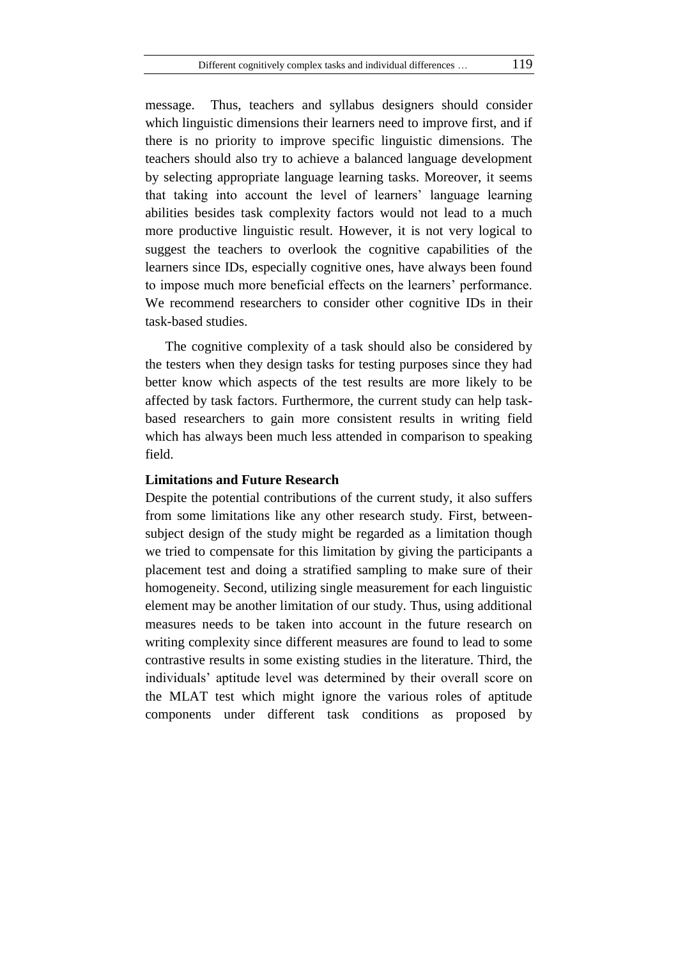message. Thus, teachers and syllabus designers should consider which linguistic dimensions their learners need to improve first, and if there is no priority to improve specific linguistic dimensions. The teachers should also try to achieve a balanced language development by selecting appropriate language learning tasks. Moreover, it seems that taking into account the level of learners" language learning abilities besides task complexity factors would not lead to a much more productive linguistic result. However, it is not very logical to suggest the teachers to overlook the cognitive capabilities of the learners since IDs, especially cognitive ones, have always been found to impose much more beneficial effects on the learners" performance. We recommend researchers to consider other cognitive IDs in their task-based studies.

The cognitive complexity of a task should also be considered by the testers when they design tasks for testing purposes since they had better know which aspects of the test results are more likely to be affected by task factors. Furthermore, the current study can help taskbased researchers to gain more consistent results in writing field which has always been much less attended in comparison to speaking field.

# **Limitations and Future Research**

Despite the potential contributions of the current study, it also suffers from some limitations like any other research study. First, betweensubject design of the study might be regarded as a limitation though we tried to compensate for this limitation by giving the participants a placement test and doing a stratified sampling to make sure of their homogeneity. Second, utilizing single measurement for each linguistic element may be another limitation of our study. Thus, using additional measures needs to be taken into account in the future research on writing complexity since different measures are found to lead to some contrastive results in some existing studies in the literature. Third, the individuals" aptitude level was determined by their overall score on the MLAT test which might ignore the various roles of aptitude components under different task conditions as proposed by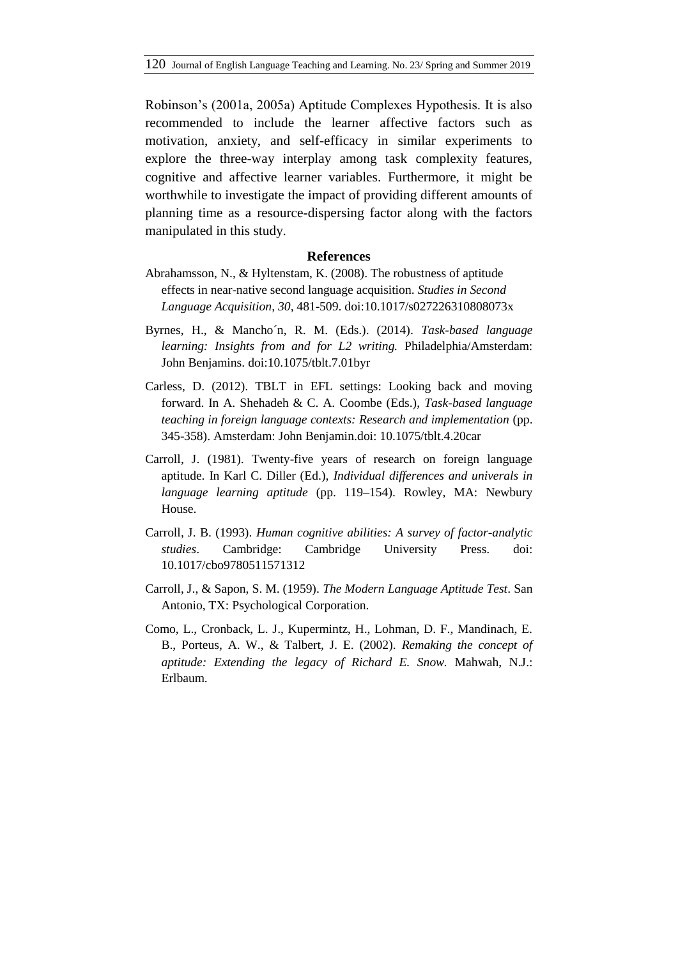Robinson"s (2001a, 2005a) Aptitude Complexes Hypothesis. It is also recommended to include the learner affective factors such as motivation, anxiety, and self-efficacy in similar experiments to explore the three-way interplay among task complexity features, cognitive and affective learner variables. Furthermore, it might be worthwhile to investigate the impact of providing different amounts of planning time as a resource-dispersing factor along with the factors manipulated in this study.

#### **References**

- Abrahamsson, N., & Hyltenstam, K. (2008). The robustness of aptitude effects in near-native second language acquisition. *Studies in Second Language Acquisition, 30,* 481-509. doi:10.1017/s027226310808073x
- Byrnes, H., & Mancho´n, R. M. (Eds.). (2014). *Task-based language learning: Insights from and for L2 writing.* Philadelphia/Amsterdam: John Benjamins. doi:10.1075/tblt.7.01byr
- Carless, D. (2012). TBLT in EFL settings: Looking back and moving forward. In A. Shehadeh & C. A. Coombe (Eds.), *Task-based language teaching in foreign language contexts: Research and implementation* (pp. 345-358). Amsterdam: John Benjamin.doi: [10.1075/tblt.4.20car](https://doi.org/10.1075/tblt.4.20car)
- Carroll, J. (1981). Twenty-five years of research on foreign language aptitude. In Karl C. Diller (Ed.), *Individual differences and univerals in language learning aptitude* (pp. 119–154). Rowley, MA: Newbury House.
- Carroll, J. B. (1993). *Human cognitive abilities: A survey of factor-analytic studies*. Cambridge: Cambridge University Press. doi: [10.1017/cbo9780511571312](https://doi.org/10.1017/cbo9780511571312)
- Carroll, J., & Sapon, S. M. (1959). *The Modern Language Aptitude Test*. San Antonio, TX: Psychological Corporation.
- Como, L., Cronback, L. J., Kupermintz, H., Lohman, D. F., Mandinach, E. B., Porteus, A. W., & Talbert, J. E. (2002). *Remaking the concept of aptitude: Extending the legacy of Richard E. Snow.* Mahwah, N.J.: Erlbaum.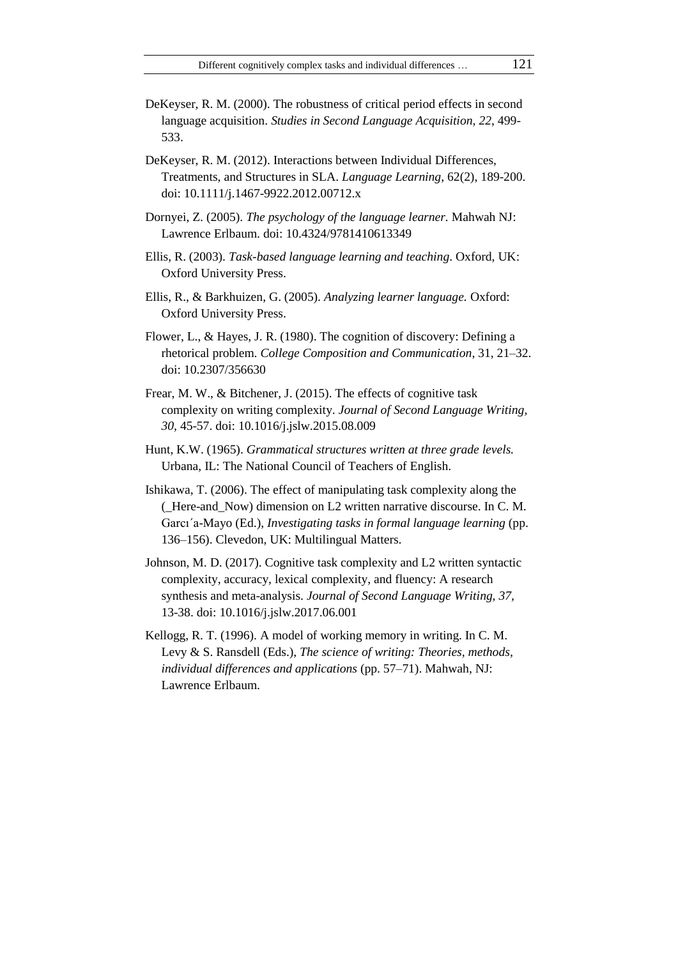- DeKeyser, R. M. (2000). The robustness of critical period effects in second language acquisition. *Studies in Second Language Acquisition, 22*, 499- 533.
- DeKeyser, R. M. (2012). Interactions between Individual Differences, Treatments, and Structures in SLA. *Language Learning*, 62(2), 189-200. doi: 10.1111/j.1467-9922.2012.00712.x
- Dornyei, Z. (2005). *The psychology of the language learner.* Mahwah NJ: Lawrence Erlbaum. doi: 10.4324/9781410613349
- Ellis, R. (2003). *Task-based language learning and teaching*. Oxford, UK: Oxford University Press.
- Ellis, R., & Barkhuizen, G. (2005). *Analyzing learner language.* Oxford: Oxford University Press.
- Flower, L., & Hayes, J. R. (1980). The cognition of discovery: Defining a rhetorical problem. *College Composition and Communication*, 31, 21–32. doi: 10.2307/356630
- Frear, M. W., & Bitchener, J. (2015). The effects of cognitive task complexity on writing complexity. *Journal of Second Language Writing, 30,* 45-57. doi: 10.1016/j.jslw.2015.08.009
- Hunt, K.W. (1965). *Grammatical structures written at three grade levels.*  Urbana, IL: The National Council of Teachers of English.
- Ishikawa, T. (2006). The effect of manipulating task complexity along the (\_Here-and\_Now) dimension on L2 written narrative discourse. In C. M. Garcı'a-Mayo (Ed.), *Investigating tasks in formal language learning* (pp. 136–156). Clevedon, UK: Multilingual Matters.
- Johnson, M. D. (2017). Cognitive task complexity and L2 written syntactic complexity, accuracy, lexical complexity, and fluency: A research synthesis and meta-analysis. *Journal of Second Language Writing, 37,*  13-38. doi: 10.1016/j.jslw.2017.06.001
- Kellogg, R. T. (1996). A model of working memory in writing. In C. M. Levy & S. Ransdell (Eds.), *The science of writing: Theories, methods, individual differences and applications* (pp. 57–71). Mahwah, NJ: Lawrence Erlbaum.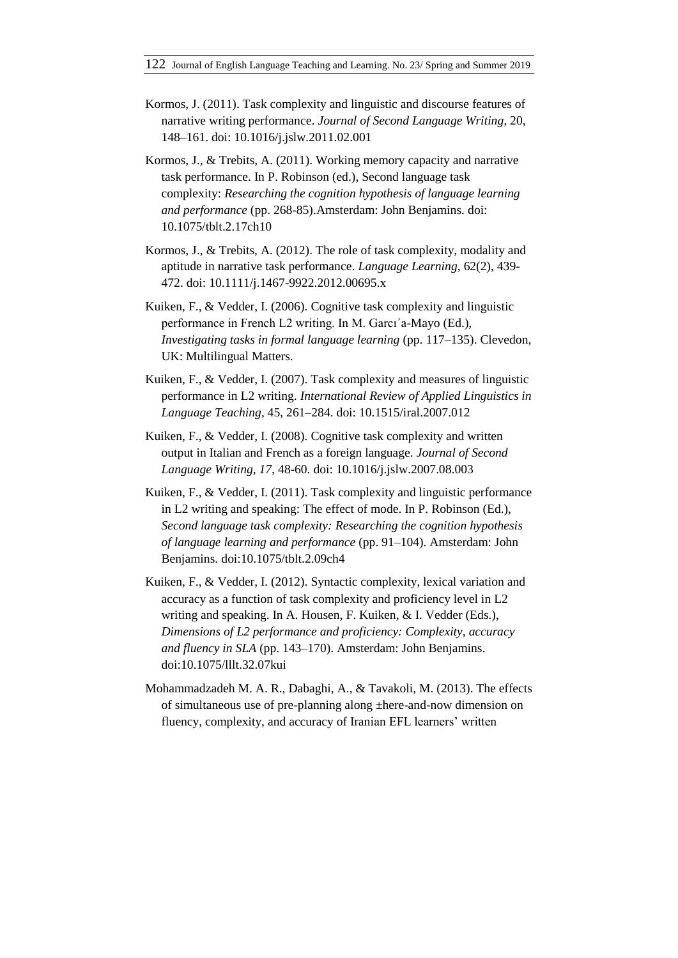- Kormos, J. (2011). Task complexity and linguistic and discourse features of narrative writing performance. *Journal of Second Language Writing,* 20, 148–161. doi: 10.1016/j.jslw.2011.02.001
- Kormos, J., & Trebits, A. (2011). Working memory capacity and narrative task performance. In P. Robinson (ed.), Second language task complexity: *Researching the cognition hypothesis of language learning and performance* (pp. 268-85).Amsterdam: John Benjamins. doi: 10.1075/tblt.2.17ch10
- Kormos, J., & Trebits, A. (2012). The role of task complexity, modality and aptitude in narrative task performance. *Language Learning*, 62(2), 439- 472. doi: 10.1111/j.1467-9922.2012.00695.x
- Kuiken, F., & Vedder, I. (2006). Cognitive task complexity and linguistic performance in French L2 writing. In M. Garcı´a-Mayo (Ed.), *Investigating tasks in formal language learning* (pp. 117–135). Clevedon, UK: Multilingual Matters.
- Kuiken, F., & Vedder, I. (2007). Task complexity and measures of linguistic performance in L2 writing. *International Review of Applied Linguistics in Language Teaching*, 45, 261–284. doi: 10.1515/iral.2007.012
- Kuiken, F., & Vedder, I. (2008). Cognitive task complexity and written output in Italian and French as a foreign language. *Journal of Second Language Writing, 17,* 48-60. doi: 10.1016/j.jslw.2007.08.003
- Kuiken, F., & Vedder, I. (2011). Task complexity and linguistic performance in L2 writing and speaking: The effect of mode. In P. Robinson (Ed.), *Second language task complexity: Researching the cognition hypothesis of language learning and performance* (pp. 91–104). Amsterdam: John Benjamins. doi:10.1075/tblt.2.09ch4
- Kuiken, F., & Vedder, I. (2012). Syntactic complexity, lexical variation and accuracy as a function of task complexity and proficiency level in L2 writing and speaking. In A. Housen, F. Kuiken, & I. Vedder (Eds.), *Dimensions of L2 performance and proficiency: Complexity, accuracy and fluency in SLA* (pp. 143–170). Amsterdam: John Benjamins. doi:10.1075/lllt.32.07kui
- Mohammadzadeh M. A. R., Dabaghi, A., & Tavakoli, M. (2013). The effects of simultaneous use of pre-planning along ±here-and-now dimension on fluency, complexity, and accuracy of Iranian EFL learners' written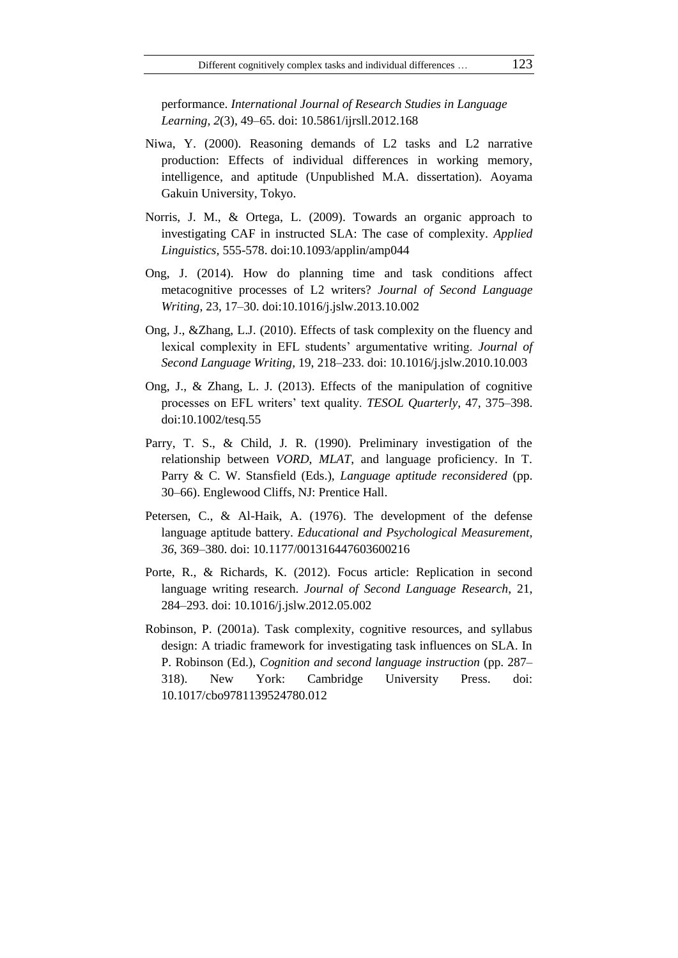performance. *International Journal of Research Studies in Language Learning, 2*(3), 49–65. doi: 10.5861/ijrsll.2012.168

- Niwa, Y. (2000). Reasoning demands of L2 tasks and L2 narrative production: Effects of individual differences in working memory, intelligence, and aptitude (Unpublished M.A. dissertation). Aoyama Gakuin University, Tokyo.
- Norris, J. M., & Ortega, L. (2009). Towards an organic approach to investigating CAF in instructed SLA: The case of complexity. *Applied Linguistics,* 555-578. doi:10.1093/applin/amp044
- Ong, J. (2014). How do planning time and task conditions affect metacognitive processes of L2 writers? *Journal of Second Language Writing*, 23, 17–30. doi:10.1016/j.jslw.2013.10.002
- Ong, J., &Zhang, L.J. (2010). Effects of task complexity on the fluency and lexical complexity in EFL students' argumentative writing. *Journal of Second Language Writing,* 19, 218–233. doi: 10.1016/j.jslw.2010.10.003
- Ong, J., & Zhang, L. J. (2013). Effects of the manipulation of cognitive processes on EFL writers" text quality. *TESOL Quarterly*, 47, 375–398. doi:10.1002/tesq.55
- Parry, T. S., & Child, J. R. (1990). Preliminary investigation of the relationship between *VORD*, *MLAT*, and language proficiency. In T. Parry & C. W. Stansfield (Eds.), *Language aptitude reconsidered* (pp. 30–66). Englewood Cliffs, NJ: Prentice Hall.
- Petersen, C., & Al-Haik, A. (1976). The development of the defense language aptitude battery. *Educational and Psychological Measurement, 36*, 369–380. doi: [10.1177/001316447603600216](https://doi.org/10.1177/001316447603600216)
- Porte, R., & Richards, K. (2012). Focus article: Replication in second language writing research. *Journal of Second Language Research*, 21, 284–293. doi: 10.1016/j.jslw.2012.05.002
- Robinson, P. (2001a). Task complexity, cognitive resources, and syllabus design: A triadic framework for investigating task influences on SLA. In P. Robinson (Ed.), *Cognition and second language instruction* (pp. 287– 318). New York: Cambridge University Press. doi: 10.1017/cbo9781139524780.012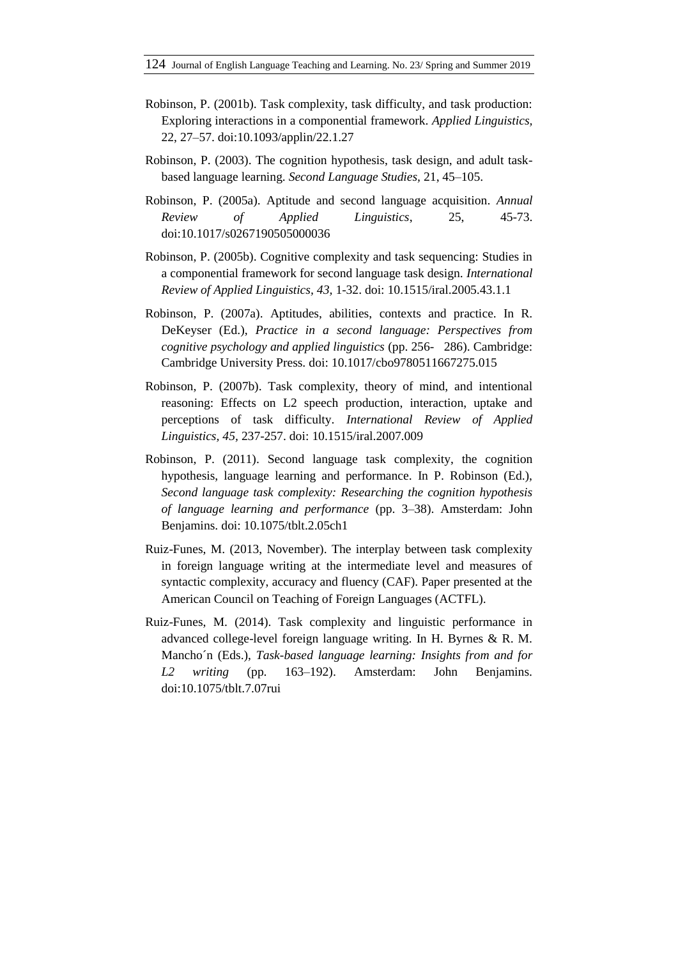- Robinson, P. (2001b). Task complexity, task difficulty, and task production: Exploring interactions in a componential framework. *Applied Linguistics,*  22, 27–57. doi:10.1093/applin/22.1.27
- Robinson, P. (2003). The cognition hypothesis, task design, and adult taskbased language learning. *Second Language Studies,* 21, 45–105.
- Robinson, P. (2005a). Aptitude and second language acquisition. *Annual Review of Applied Linguistics*, 25, 45-73. doi:10.1017/s0267190505000036
- Robinson, P. (2005b). Cognitive complexity and task sequencing: Studies in a componential framework for second language task design. *International Review of Applied Linguistics, 43,* 1-32. doi: 10.1515/iral.2005.43.1.1
- Robinson, P. (2007a). Aptitudes, abilities, contexts and practice. In R. DeKeyser (Ed.), *Practice in a second language: Perspectives from cognitive psychology and applied linguistics* (pp. 256-286). Cambridge: Cambridge University Press. doi: 10.1017/cbo9780511667275.015
- Robinson, P. (2007b). Task complexity, theory of mind, and intentional reasoning: Effects on L2 speech production, interaction, uptake and perceptions of task difficulty. *International Review of Applied Linguistics, 45,* 237-257. doi: 10.1515/iral.2007.009
- Robinson, P. (2011). Second language task complexity, the cognition hypothesis, language learning and performance. In P. Robinson (Ed.), *Second language task complexity: Researching the cognition hypothesis of language learning and performance* (pp. 3–38). Amsterdam: John Benjamins. doi: 10.1075/tblt.2.05ch1
- Ruiz-Funes, M. (2013, November). The interplay between task complexity in foreign language writing at the intermediate level and measures of syntactic complexity, accuracy and fluency (CAF). Paper presented at the American Council on Teaching of Foreign Languages (ACTFL).
- Ruiz-Funes, M. (2014). Task complexity and linguistic performance in advanced college-level foreign language writing. In H. Byrnes & R. M. Mancho´n (Eds.), *Task-based language learning: Insights from and for L2 writing* (pp. 163–192). Amsterdam: John Benjamins. doi:10.1075/tblt.7.07rui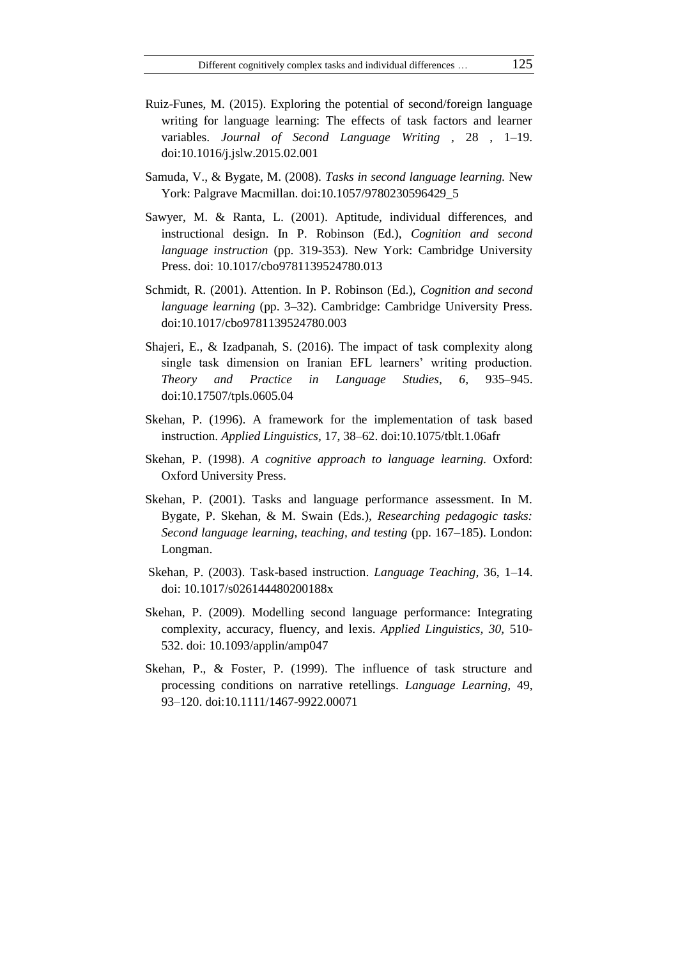- Ruiz-Funes, M. (2015). Exploring the potential of second/foreign language writing for language learning: The effects of task factors and learner variables. *Journal of Second Language Writing ,* 28 , 1–19. doi:10.1016/j.jslw.2015.02.001
- Samuda, V., & Bygate, M. (2008). *Tasks in second language learning.* New York: Palgrave Macmillan. doi:10.1057/9780230596429\_5
- Sawyer, M. & Ranta, L. (2001). Aptitude, individual differences, and instructional design. In P. Robinson (Ed.), *Cognition and second language instruction* (pp. 319-353). New York: Cambridge University Press. doi: [10.1017/cbo9781139524780.013](https://doi.org/10.1017/cbo9781139524780.013)
- Schmidt, R. (2001). Attention. In P. Robinson (Ed.), *Cognition and second language learning* (pp. 3–32). Cambridge: Cambridge University Press. doi[:10.1017/cbo9781139524780.003](https://doi.org/10.1017/cbo9781139524780.003)
- Shajeri, E., & Izadpanah, S. (2016). The impact of task complexity along single task dimension on Iranian EFL learners' writing production. *Theory and Practice in Language Studies, 6,* 935–945. doi:10.17507/tpls.0605.04
- Skehan, P. (1996). A framework for the implementation of task based instruction. *Applied Linguistics,* 17, 38–62. doi:10.1075/tblt.1.06afr
- Skehan, P. (1998). *A cognitive approach to language learning.* Oxford: Oxford University Press.
- Skehan, P. (2001). Tasks and language performance assessment. In M. Bygate, P. Skehan, & M. Swain (Eds.), *Researching pedagogic tasks: Second language learning, teaching, and testing* (pp. 167–185). London: Longman.
- Skehan, P. (2003). Task-based instruction. *Language Teaching,* 36, 1–14. doi: 10.1017/s026144480200188x
- Skehan, P. (2009). Modelling second language performance: Integrating complexity, accuracy, fluency, and lexis. *Applied Linguistics, 30,* 510- 532. [doi: 10.1093/applin/amp047](https://doi.org/10.1093/applin/amp047)
- Skehan, P., & Foster, P. (1999). The influence of task structure and processing conditions on narrative retellings. *Language Learning,* 49, 93–120. doi:10.1111/1467-9922.00071